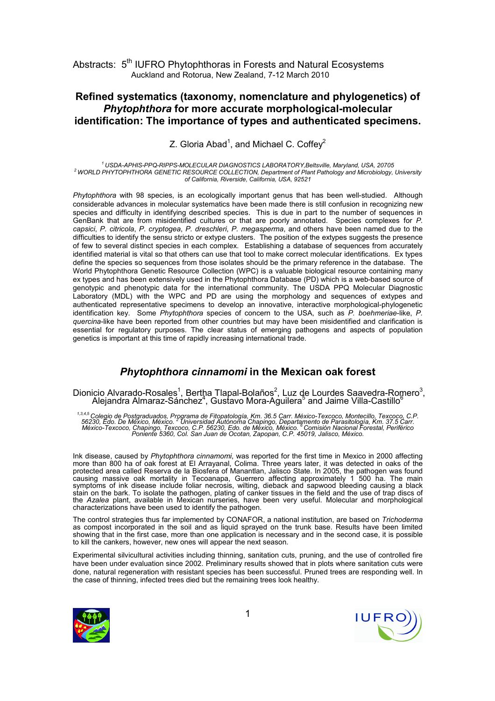## Refined systematics (taxonomy, nomenclature and phylogenetics) of Phytophthora for more accurate morphological-molecular identification: The importance of types and authenticated specimens.

Z. Gloria Abad<sup>1</sup>, and Michael C. Coffey<sup>2</sup>

<sup>1</sup>USDA-APHIS-PPQ-RIPPS-MOLECULAR DIAGNOSTICS LABORATORY,Beltsville, Maryland, USA, 20705 <sup>2</sup>WORLD PHYTOPHTHORA GENETIC RESOURCE COLLECTION, Department of Plant Pathology and Microbiology, University of California, Riverside, California, USA, 92521

Phytophthora with 98 species, is an ecologically important genus that has been well-studied. Although considerable advances in molecular systematics have been made there is still confusion in recognizing new species and difficulty in identifying described species. This is due in part to the number of sequences in GenBank that are from misidentified cultures or that are poorly annotated. Species complexes for P. capsici, P. citricola, P. cryptogea, P. dreschleri, P. megasperma, and others have been named due to the difficulties to identify the sensu stricto or extype clusters. The position of the extypes suggests the presence of few to several distinct species in each complex. Establishing a database of sequences from accurately identified material is vital so that others can use that tool to make correct molecular identifications. Ex types define the species so sequences from those isolates should be the primary reference in the database. The World Phytophthora Genetic Resource Collection (WPC) is a valuable biological resource containing many ex types and has been extensively used in the Phytophthora Database (PD) which is a web-based source of genotypic and phenotypic data for the international community. The USDA PPQ Molecular Diagnostic Laboratory (MDL) with the WPC and PD are using the morphology and sequences of extypes and authenticated representative specimens to develop an innovative, interactive morphological-phylogenetic identification key. Some Phytophthora species of concern to the USA, such as P. boehmeriae-like, P. quercina-like have been reported from other countries but may have been misidentified and clarification is essential for regulatory purposes. The clear status of emerging pathogens and aspects of population genetics is important at this time of rapidly increasing international trade.

## Phytophthora cinnamomi in the Mexican oak forest

Dionicio Alvarado-Rosales<sup>1</sup>, Bertha Tlapal-Bolaños<sup>2</sup>, Luz de Lourdes Saavedra-Romero<sup>3</sup>, Alejandra Almaraz-Sánchez<sup>4</sup>, Gustavo Mora-Aguilera<sup>5</sup> and Jaime Villa-Castillo<sup>6</sup>

<sup>1,3,4,5</sup> Colegio de Postgraduados, Programa de Fitopatología, Km. 36.5 Carr. México-Texcoco, Montecillo, Texcoco, C.P.<br>56230, Edo. De México, México. <sup>2</sup> Universidad Autónoma Chapingo, Departamento de Parasitología, Km. 3

Ink disease, caused by Phytophthora cinnamomi, was reported for the first time in Mexico in 2000 affecting more than 800 ha of oak forest at El Arrayanal, Colima. Three years later, it was detected in oaks of the protected area called Reserva de la Biosfera of Manantlan, Jalisco State. In 2005, the pathogen was found causing massive oak mortality in Tecoanapa, Guerrero affecting approximately 1 500 ha. The main symptoms of ink disease include foliar necrosis, wilting, dieback and sapwood bleeding causing a black stain on the bark. To isolate the pathogen, plating of canker tissues in the field and the use of trap discs of the Azalea plant, available in Mexican nurseries, have been very useful. Molecular and morphological characterizations have been used to identify the pathogen.

The control strategies thus far implemented by CONAFOR, a national institution, are based on Trichoderma as compost incorporated in the soil and as liquid sprayed on the trunk base. Results have been limited showing that in the first case, more than one application is necessary and in the second case, it is possible to kill the cankers, however, new ones will appear the next season.

Experimental silvicultural activities including thinning, sanitation cuts, pruning, and the use of controlled fire have been under evaluation since 2002. Preliminary results showed that in plots where sanitation cuts were done, natural regeneration with resistant species has been successful. Pruned trees are responding well. In the case of thinning, infected trees died but the remaining trees look healthy.



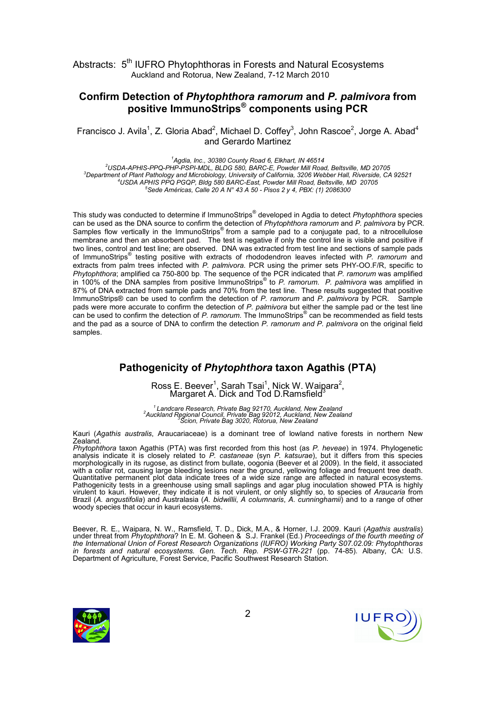## Confirm Detection of Phytophthora ramorum and P. palmivora from positive ImmunoStrips® components using PCR

Francisco J. Avila<sup>1</sup>, Z. Gloria Abad<sup>2</sup>, Michael D. Coffey<sup>3</sup>, John Rascoe<sup>2</sup>, Jorge A. Abad<sup>4</sup> and Gerardo Martinez

 Agdia, Inc., 30380 County Road 6, Elkhart, IN 46514 USDA-APHIS-PPQ-PHP-PSPI-MDL, BLDG 580, BARC-E, Powder Mill Road, Beltsville, MD 20705 Department of Plant Pathology and Microbiology, University of California, 3206 Webber Hall, Riverside, CA 92521 USDA APHIS PPQ PGQP, Bldg 580 BARC-East, Powder Mill Road, Beltsville, MD 20705 Sede Américas, Calle 20 A N° 43 A 50 - Pisos 2 y 4, PBX: (1) 2086300

This study was conducted to determine if ImmunoStrips® developed in Agdia to detect Phytophthora species can be used as the DNA source to confirm the detection of Phytophthora ramorum and P. palmivora by PCR. Samples flow vertically in the ImmunoStrips<sup>®</sup> from a sample pad to a conjugate pad, to a nitrocellulose membrane and then an absorbent pad. The test is negative if only the control line is visible and positive if two lines, control and test line; are observed. DNA was extracted from test line and sections of sample pads of ImmunoStrips<sup>®</sup> testing positive with extracts of rhododendron leaves infected with P. ramorum and extracts from palm trees infected with P. palmivora. PCR using the primer sets PHY-OO.F/R, specific to Phytophthora; amplified ca 750-800 bp. The sequence of the PCR indicated that P. ramorum was amplified in 100% of the DNA samples from positive ImmunoStrips<sup>®</sup> to P. ramorum. P. palmivora was amplified in 87% of DNA extracted from sample pads and 70% from the test line. These results suggested that positive ImmunoStrips® can be used to confirm the detection of P. ramorum and P. palmivora by PCR. Sample pads were more accurate to confirm the detection of P. palmivora but either the sample pad or the test line .<br>can be used to confirm the detection of P. ramorum. The ImmunoStrips® can be recommended as field tests and the pad as a source of DNA to confirm the detection P. ramorum and P. palmivora on the original field samples.

## Pathogenicity of Phytophthora taxon Agathis (PTA)

Ross E. Beever<sup>1</sup>, Sarah Tsai<sup>1</sup>, Nick W. Waipara<sup>2</sup>,<br>Margaret A. Dick and Tod D.Ramsfield<sup>3</sup>

<sup>1</sup> Landcare Research, Private Bag 92170, Auckland, New Zealand <sup>2</sup><br>Auckland Regional Council, Private Bag 92012, Auckland, New Zealand <sup>3</sup>Scion, Private Bag 3020, Rotorua, New Zealand

Kauri (Agathis australis, Araucariaceae) is a dominant tree of lowland native forests in northern New Zealand.

Phytophthora taxon Agathis (PTA) was first recorded from this host (as P. heveae) in 1974. Phylogenetic analysis indicate it is closely related to P. castaneae (syn P. katsurae), but it differs from this species morphologically in its rugose, as distinct from bullate, oogonia (Beever et al 2009). In the field, it associated with a collar rot, causing large bleeding lesions near the ground, yellowing foliage and frequent tree death. Quantitative permanent plot data indicate trees of a wide size range are affected in natural ecosystems. Pathogenicity tests in a greenhouse using small saplings and agar plug inoculation showed PTA is highly virulent to kauri. However, they indicate it is not virulent, or only slightly so, to species of *Araucaria* from Brazil (A. angustifolia) and Australasia (A. bidwillii, A columnaris, A. cunninghamii) and to a range of other woody species that occur in kauri ecosystems.

Beever, R. E., Waipara, N. W., Ramsfield, T. D., Dick, M.A., & Horner, I.J. 2009. Kauri (Agathis australis) under threat from Phytophthora? In E. M. Goheen & S.J. Frankel (Ed.) Proceedings of the fourth meeting of the International Union of Forest Research Organizations (IUFRO) Working Party S07.02.09: Phytophthoras in forests and natural ecosystems. Gen. Tech. Rep. PSW-GTR-221 (pp. 74-85). Albany, CA: U.S. Department of Agriculture, Forest Service, Pacific Southwest Research Station.



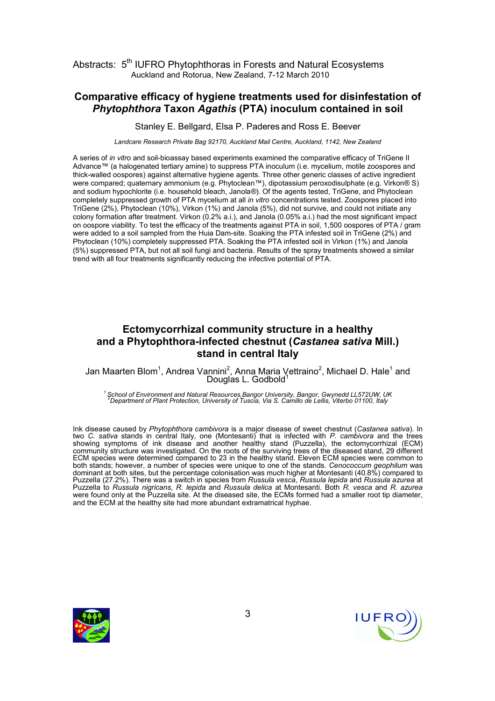#### Comparative efficacy of hygiene treatments used for disinfestation of Phytophthora Taxon Agathis (PTA) inoculum contained in soil

Stanley E. Bellgard, Elsa P. Paderes and Ross E. Beever

Landcare Research Private Bag 92170, Auckland Mail Centre, Auckland, 1142, New Zealand

A series of in vitro and soil-bioassay based experiments examined the comparative efficacy of TriGene II Advance™ (a halogenated tertiary amine) to suppress PTA inoculum (i.e. mycelium, motile zoospores and thick-walled oospores) against alternative hygiene agents. Three other generic classes of active ingredient were compared; quaternary ammonium (e.g. Phytoclean™), dipotassium peroxodisulphate (e.g. Virkon® S) and sodium hypochlorite (i.e. household bleach, Janola®). Of the agents tested, TriGene, and Phytoclean completely suppressed growth of PTA mycelium at all in vitro concentrations tested. Zoospores placed into TriGene (2%), Phytoclean (10%), Virkon (1%) and Janola (5%), did not survive, and could not initiate any colony formation after treatment. Virkon (0.2% a.i.), and Janola (0.05% a.i.) had the most significant impact on oospore viability. To test the efficacy of the treatments against PTA in soil, 1,500 oospores of PTA / gram were added to a soil sampled from the Huia Dam-site. Soaking the PTA infested soil in TriGene (2%) and Phytoclean (10%) completely suppressed PTA. Soaking the PTA infested soil in Virkon (1%) and Janola (5%) suppressed PTA, but not all soil fungi and bacteria. Results of the spray treatments showed a similar trend with all four treatments significantly reducing the infective potential of PTA.

# Ectomycorrhizal community structure in a healthy and a Phytophthora-infected chestnut (Castanea sativa Mill.) stand in central Italy

Jan Maarten Blom<sup>1</sup>, Andrea Vannini<sup>2</sup>, Anna Maria Vettraino<sup>2</sup>, Michael D. Hale<sup>1</sup> and<br>Douglas L. Godbold<sup>1</sup>

15 School of Environment and Natural Resources,Bangor University, Bangor, Gwynedd LL572UW, UK<br><sup>2</sup>Department of Plant Protection, University of Tuscia, Via S. Camillo de Lellis, Viterbo 01100, Italy

Ink disease caused by Phytophthora cambivora is a major disease of sweet chestnut (Castanea sativa). In two C. sativa stands in central Italy, one (Montesanti) that is infected with P. cambivora and the trees showing symptoms of ink disease and another healthy stand (Puzzella), the ectomycorrhizal (ECM) community structure was investigated. On the roots of the surviving trees of the diseased stand, 29 different ECM species were determined compared to 23 in the healthy stand. Eleven ECM species were common to both stands; however, a number of species were unique to one of the stands. Cenococcum geophilum was dominant at both sites, but the percentage colonisation was much higher at Montesanti (40.8%) compared to Puzzella (27.2%). There was a switch in species from Russula vesca, Russula lepida and Russula azurea at Puzzella to Russula nigricans, R. lepida and Russula delica at Montesanti. Both R. vesca and R. azurea were found only at the Puzzella site. At the diseased site, the ECMs formed had a smaller root tip diameter, and the ECM at the healthy site had more abundant extramatrical hyphae.



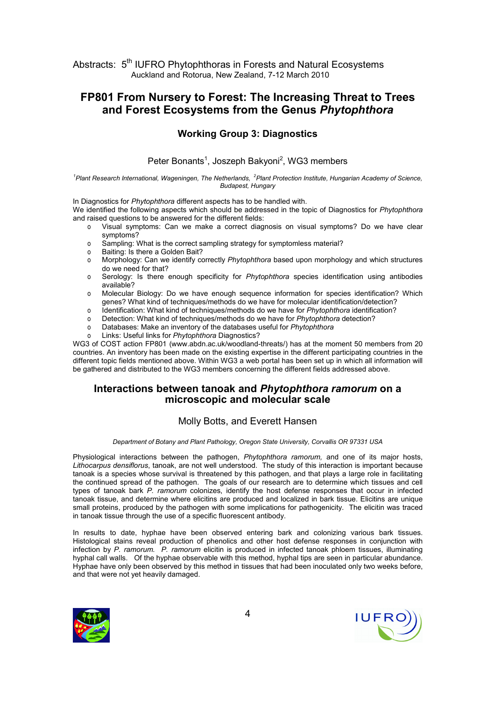# FP801 From Nursery to Forest: The Increasing Threat to Trees and Forest Ecosystems from the Genus Phytophthora

#### Working Group 3: Diagnostics

#### Peter Bonants<sup>1</sup>, Joszeph Bakyoni<sup>2</sup>, WG3 members

<sup>1</sup>Plant Research International, Wageningen, The Netherlands, <sup>2</sup>Plant Protection Institute, Hungarian Academy of Science, Budapest, Hungary

In Diagnostics for Phytophthora different aspects has to be handled with.

We identified the following aspects which should be addressed in the topic of Diagnostics for Phytophthora and raised questions to be answered for the different fields:

- o Visual symptoms: Can we make a correct diagnosis on visual symptoms? Do we have clear symptoms?
	- o Sampling: What is the correct sampling strategy for symptomless material?
- o Baiting: Is there a Golden Bait?
- o Morphology: Can we identify correctly Phytophthora based upon morphology and which structures do we need for that?
- o Serology: Is there enough specificity for Phytophthora species identification using antibodies available?
- o Molecular Biology: Do we have enough sequence information for species identification? Which genes? What kind of techniques/methods do we have for molecular identification/detection?
- o Identification: What kind of techniques/methods do we have for Phytophthora identification?
- o Detection: What kind of techniques/methods do we have for Phytophthora detection?
- o Databases: Make an inventory of the databases useful for Phytophthora
- o Links: Useful links for Phytophthora Diagnostics?

WG3 of COST action FP801 (www.abdn.ac.uk/woodland-threats/) has at the moment 50 members from 20 countries. An inventory has been made on the existing expertise in the different participating countries in the different topic fields mentioned above. Within WG3 a web portal has been set up in which all information will be gathered and distributed to the WG3 members concerning the different fields addressed above.

#### Interactions between tanoak and Phytophthora ramorum on a microscopic and molecular scale

#### Molly Botts, and Everett Hansen

#### Department of Botany and Plant Pathology, Oregon State University, Corvallis OR 97331 USA

Physiological interactions between the pathogen, Phytophthora ramorum, and one of its major hosts, Lithocarpus densiflorus, tanoak, are not well understood. The study of this interaction is important because tanoak is a species whose survival is threatened by this pathogen, and that plays a large role in facilitating the continued spread of the pathogen. The goals of our research are to determine which tissues and cell types of tanoak bark P. ramorum colonizes, identify the host defense responses that occur in infected tanoak tissue, and determine where elicitins are produced and localized in bark tissue. Elicitins are unique small proteins, produced by the pathogen with some implications for pathogenicity. The elicitin was traced in tanoak tissue through the use of a specific fluorescent antibody.

In results to date, hyphae have been observed entering bark and colonizing various bark tissues. Histological stains reveal production of phenolics and other host defense responses in conjunction with infection by P. ramorum. P. ramorum elicitin is produced in infected tanoak phloem tissues, illuminating hyphal call walls. Of the hyphae observable with this method, hyphal tips are seen in particular abundance. Hyphae have only been observed by this method in tissues that had been inoculated only two weeks before, and that were not yet heavily damaged.



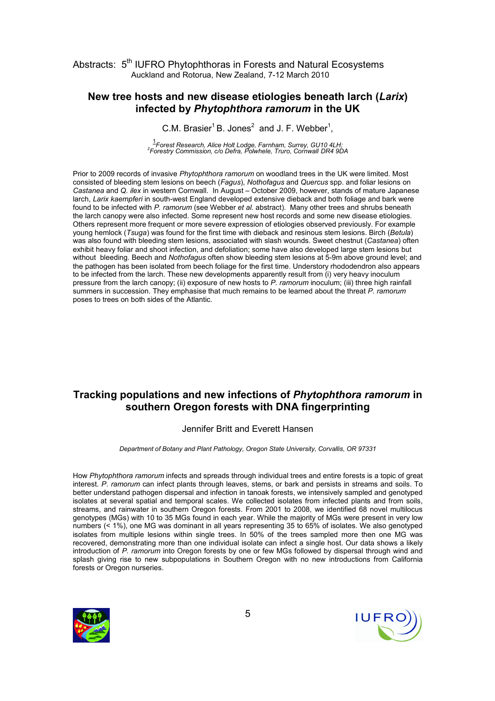#### New tree hosts and new disease etiologies beneath larch (Larix) infected by Phytophthora ramorum in the UK

C.M. Brasier<sup>1</sup> B. Jones<sup>2</sup> and J. F. Webber<sup>1</sup>,

1 Forest Research, Alice Holt Lodge, Farnham, Surrey, GU10 4LH; <sup>2</sup> Forestry Commission, c/o Defra, Polwhele, Truro, Cornwall DR4 9DA

Prior to 2009 records of invasive Phytophthora ramorum on woodland trees in the UK were limited. Most consisted of bleeding stem lesions on beech (Fagus), Nothofagus and Quercus spp. and foliar lesions on Castanea and Q. ilex in western Cornwall. In August – October 2009, however, stands of mature Japanese larch, Larix kaempferi in south-west England developed extensive dieback and both foliage and bark were found to be infected with P. ramorum (see Webber et al. abstract). Many other trees and shrubs beneath the larch canopy were also infected. Some represent new host records and some new disease etiologies. Others represent more frequent or more severe expression of etiologies observed previously. For example young hemlock (Tsuga) was found for the first time with dieback and resinous stem lesions. Birch (Betula) was also found with bleeding stem lesions, associated with slash wounds. Sweet chestnut (Castanea) often exhibit heavy foliar and shoot infection, and defoliation; some have also developed large stem lesions but without bleeding. Beech and Nothofagus often show bleeding stem lesions at 5-9m above ground level; and the pathogen has been isolated from beech foliage for the first time. Understory rhododendron also appears to be infected from the larch. These new developments apparently result from (i) very heavy inoculum pressure from the larch canopy; (ii) exposure of new hosts to P. ramorum inoculum; (iii) three high rainfall summers in succession. They emphasise that much remains to be learned about the threat P. ramorum poses to trees on both sides of the Atlantic.

# Tracking populations and new infections of Phytophthora ramorum in southern Oregon forests with DNA fingerprinting

#### Jennifer Britt and Everett Hansen

Department of Botany and Plant Pathology, Oregon State University, Corvallis, OR 97331

How Phytophthora ramorum infects and spreads through individual trees and entire forests is a topic of great interest. P. ramorum can infect plants through leaves, stems, or bark and persists in streams and soils. To better understand pathogen dispersal and infection in tanoak forests, we intensively sampled and genotyped isolates at several spatial and temporal scales. We collected isolates from infected plants and from soils, streams, and rainwater in southern Oregon forests. From 2001 to 2008, we identified 68 novel multilocus genotypes (MGs) with 10 to 35 MGs found in each year. While the majority of MGs were present in very low numbers (< 1%), one MG was dominant in all years representing 35 to 65% of isolates. We also genotyped isolates from multiple lesions within single trees. In 50% of the trees sampled more then one MG was recovered, demonstrating more than one individual isolate can infect a single host. Our data shows a likely introduction of P. ramorum into Oregon forests by one or few MGs followed by dispersal through wind and splash giving rise to new subpopulations in Southern Oregon with no new introductions from California forests or Oregon nurseries.



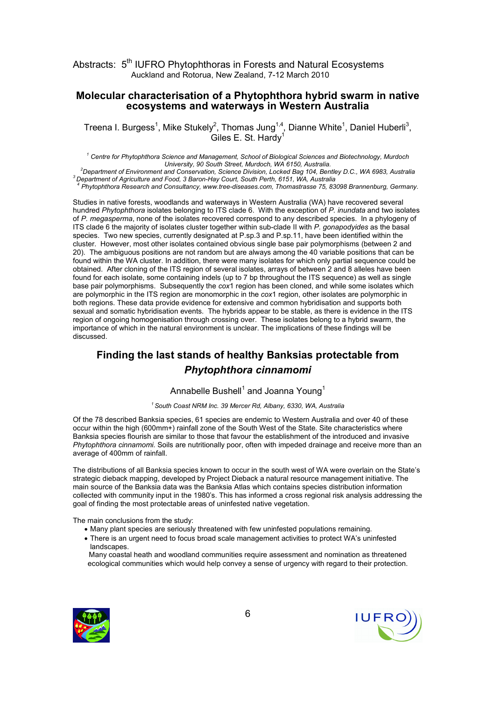#### Molecular characterisation of a Phytophthora hybrid swarm in native ecosystems and waterways in Western Australia

Treena I. Burgess<sup>1</sup>, Mike Stukely<sup>2</sup>, Thomas Jung<sup>1,4</sup>, Dianne White<sup>1</sup>, Daniel Huberli<sup>3</sup>, Giles E. St. Hardy<sup>1</sup>

<sup>1</sup> Centre for Phytophthora Science and Management, School of Biological Sciences and Biotechnology, Murdoch University, 90 South Street, Murdoch, WA 6150, Australia.

<sup>2</sup>Department of Environment and Conservation, Science Division, Locked Bag 104, Bentley D.C., WA 6983, Australia  $3$  Department of Agriculture and Food, 3 Baron-Hay Court, South Perth, 6151, WA, Australia

4 Phytophthora Research and Consultancy, www.tree-diseases.com, Thomastrasse 75, 83098 Brannenburg, Germany.

Studies in native forests, woodlands and waterways in Western Australia (WA) have recovered several hundred Phytophthora isolates belonging to ITS clade 6. With the exception of P. inundata and two isolates of P. megasperma, none of the isolates recovered correspond to any described species. In a phylogeny of ITS clade 6 the majority of isolates cluster together within sub-clade II with P. gonapodyides as the basal species. Two new species, currently designated at P.sp.3 and P.sp.11, have been identified within the cluster. However, most other isolates contained obvious single base pair polymorphisms (between 2 and 20). The ambiguous positions are not random but are always among the 40 variable positions that can be found within the WA cluster. In addition, there were many isolates for which only partial sequence could be obtained. After cloning of the ITS region of several isolates, arrays of between 2 and 8 alleles have been found for each isolate, some containing indels (up to 7 bp throughout the ITS sequence) as well as single base pair polymorphisms. Subsequently the cox1 region has been cloned, and while some isolates which are polymorphic in the ITS region are monomorphic in the cox1 region, other isolates are polymorphic in both regions. These data provide evidence for extensive and common hybridisation and supports both sexual and somatic hybridisation events. The hybrids appear to be stable, as there is evidence in the ITS region of ongoing homogenisation through crossing over. These isolates belong to a hybrid swarm, the importance of which in the natural environment is unclear. The implications of these findings will be discussed.

# Finding the last stands of healthy Banksias protectable from Phytophthora cinnamomi

#### Annabelle Bushell $^1$  and Joanna Young $^1$

#### $1$  South Coast NRM Inc. 39 Mercer Rd, Albany, 6330, WA, Australia

Of the 78 described Banksia species, 61 species are endemic to Western Australia and over 40 of these occur within the high (600mm+) rainfall zone of the South West of the State. Site characteristics where Banksia species flourish are similar to those that favour the establishment of the introduced and invasive Phytophthora cinnamomi. Soils are nutritionally poor, often with impeded drainage and receive more than an average of 400mm of rainfall.

The distributions of all Banksia species known to occur in the south west of WA were overlain on the State's strategic dieback mapping, developed by Project Dieback a natural resource management initiative. The main source of the Banksia data was the Banksia Atlas which contains species distribution information collected with community input in the 1980's. This has informed a cross regional risk analysis addressing the goal of finding the most protectable areas of uninfested native vegetation.

The main conclusions from the study:

- Many plant species are seriously threatened with few uninfested populations remaining.
- There is an urgent need to focus broad scale management activities to protect WA's uninfested landscapes.

Many coastal heath and woodland communities require assessment and nomination as threatened ecological communities which would help convey a sense of urgency with regard to their protection.



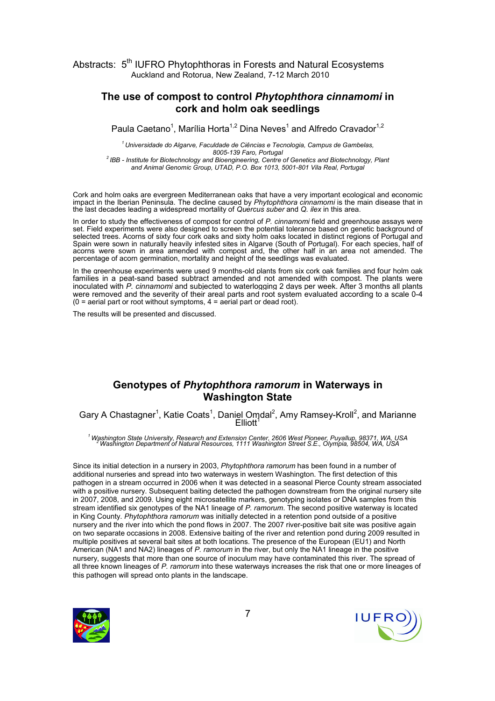#### The use of compost to control Phytophthora cinnamomi in cork and holm oak seedlings

Paula Caetano<sup>1</sup>, Marília Horta<sup>1,2</sup> Dina Neves<sup>1</sup> and Alfredo Cravador<sup>1,2</sup>

 $1$ Universidade do Algarve, Faculdade de Ciências e Tecnologia, Campus de Gambelas, 8005-139 Faro, Portugal <sup>2</sup> IBB - Institute for Biotechnology and Bioengineering, Centre of Genetics and Biotechnology, Plant

and Animal Genomic Group, UTAD, P.O. Box 1013, 5001-801 Vila Real, Portugal

Cork and holm oaks are evergreen Mediterranean oaks that have a very important ecological and economic impact in the Iberian Peninsula. The decline caused by Phytophthora cinnamomi is the main disease that in the last decades leading a widespread mortality of Quercus suber and Q. ilex in this area.

In order to study the effectiveness of compost for control of P. cinnamomi field and greenhouse assays were set. Field experiments were also designed to screen the potential tolerance based on genetic background of selected trees. Acorns of sixty four cork oaks and sixty holm oaks located in distinct regions of Portugal and Spain were sown in naturally heavily infested sites in Algarve (South of Portugal). For each species, half of acorns were sown in area amended with compost and, the other half in an area not amended. The percentage of acorn germination, mortality and height of the seedlings was evaluated.

In the greenhouse experiments were used 9 months-old plants from six cork oak families and four holm oak families in a peat-sand based subtract amended and not amended with compost. The plants were inoculated with P. cinnamomi and subjected to waterlogging 2 days per week. After 3 months all plants were removed and the severity of their areal parts and root system evaluated according to a scale 0-4  $(0 =$  aerial part or root without symptoms,  $4 =$  aerial part or dead root).

The results will be presented and discussed.

## Genotypes of Phytophthora ramorum in Waterways in Washington State

Gary A Chastagner<sup>1</sup>, Katie Coats<sup>1</sup>, Daniel Omdal<sup>2</sup>, Amy Ramsey-Kroll<sup>2</sup>, and Marianne Elliott<sup>1</sup>

<sup>1</sup>Washington State University, Research and Extension Center, 2606 West Pioneer, Puyallup, 98371, WA, USA <sup>2</sup>Washington Department of Natural Resources, 1111 Washington Street S.E., Olympia, 98504, WA, USA

Since its initial detection in a nursery in 2003, Phytophthora ramorum has been found in a number of additional nurseries and spread into two waterways in western Washington. The first detection of this pathogen in a stream occurred in 2006 when it was detected in a seasonal Pierce County stream associated with a positive nursery. Subsequent baiting detected the pathogen downstream from the original nursery site in 2007, 2008, and 2009. Using eight microsatellite markers, genotyping isolates or DNA samples from this stream identified six genotypes of the NA1 lineage of P. ramorum. The second positive waterway is located in King County. Phytophthora ramorum was initially detected in a retention pond outside of a positive nursery and the river into which the pond flows in 2007. The 2007 river-positive bait site was positive again on two separate occasions in 2008. Extensive baiting of the river and retention pond during 2009 resulted in multiple positives at several bait sites at both locations. The presence of the European (EU1) and North American (NA1 and NA2) lineages of P. ramorum in the river, but only the NA1 lineage in the positive nursery, suggests that more than one source of inoculum may have contaminated this river. The spread of all three known lineages of P. ramorum into these waterways increases the risk that one or more lineages of this pathogen will spread onto plants in the landscape.



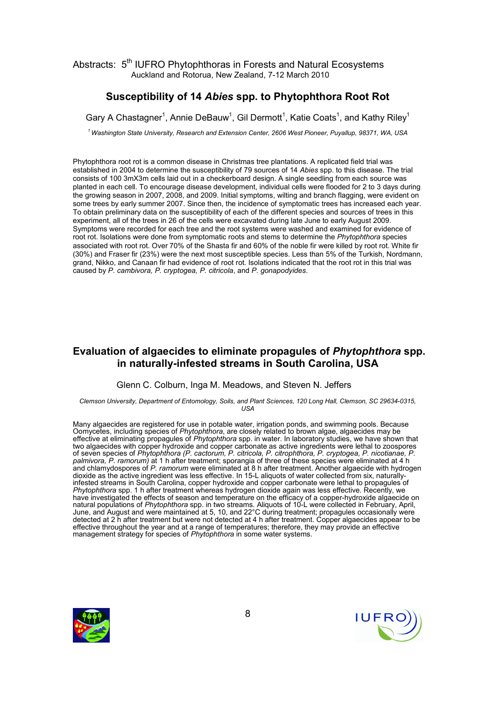# Susceptibility of 14 Abies spp. to Phytophthora Root Rot

Gary A Chastagner<sup>1</sup>, Annie DeBauw<sup>1</sup>, Gil Dermott<sup>1</sup>, Katie Coats<sup>1</sup>, and Kathy Riley<sup>1</sup>

<sup>1</sup> Washington State University, Research and Extension Center, 2606 West Pioneer, Puyallup, 98371, WA, USA

Phytophthora root rot is a common disease in Christmas tree plantations. A replicated field trial was established in 2004 to determine the susceptibility of 79 sources of 14 Abies spp. to this disease. The trial consists of 100 3mX3m cells laid out in a checkerboard design. A single seedling from each source was planted in each cell. To encourage disease development, individual cells were flooded for 2 to 3 days during the growing season in 2007, 2008, and 2009. Initial symptoms, wilting and branch flagging, were evident on some trees by early summer 2007. Since then, the incidence of symptomatic trees has increased each year. To obtain preliminary data on the susceptibility of each of the different species and sources of trees in this experiment, all of the trees in 26 of the cells were excavated during late June to early August 2009. Symptoms were recorded for each tree and the root systems were washed and examined for evidence of root rot. Isolations were done from symptomatic roots and stems to determine the Phytophthora species associated with root rot. Over 70% of the Shasta fir and 60% of the noble fir were killed by root rot. White fir (30%) and Fraser fir (23%) were the next most susceptible species. Less than 5% of the Turkish, Nordmann, grand, Nikko, and Canaan fir had evidence of root rot. Isolations indicated that the root rot in this trial was caused by P. cambivora, P. cryptogea, P. citricola, and P. gonapodyides.

## Evaluation of algaecides to eliminate propagules of Phytophthora spp. in naturally-infested streams in South Carolina, USA

#### Glenn C. Colburn, Inga M. Meadows, and Steven N. Jeffers

Clemson University, Department of Entomology, Soils, and Plant Sciences, 120 Long Hall, Clemson, SC 29634-0315,  $\overline{U}$ 

Many algaecides are registered for use in potable water, irrigation ponds, and swimming pools. Because Oomycetes, including species of Phytophthora, are closely related to brown algae, algaecides may be effective at eliminating propagules of Phytophthora spp. in water. In laboratory studies, we have shown that two algaecides with copper hydroxide and copper carbonate as active ingredients were lethal to zoospores of seven species of Phytophthora (P. cactorum, P. citricola, P. citrophthora, P. cryptogea, P. nicotianae, P. palmivora, P. ramorum) at 1 h after treatment; sporangia of three of these species were eliminated at 4 h and chlamydospores of P. ramorum were eliminated at 8 h after treatment. Another algaecide with hydrogen dioxide as the active ingredient was less effective. In 15-L aliquots of water collected from six, naturallyinfested streams in South Carolina, copper hydroxide and copper carbonate were lethal to propagules of Phytophthora spp. 1 h after treatment whereas hydrogen dioxide again was less effective. Recently, we have investigated the effects of season and temperature on the efficacy of a copper-hydroxide algaecide on natural populations of Phytophthora spp. in two streams. Aliquots of 10-L were collected in February, April, June, and August and were maintained at 5, 10, and 22°C during treatment; propagules occasionally were detected at 2 h after treatment but were not detected at 4 h after treatment. Copper algaecides appear to be effective throughout the year and at a range of temperatures; therefore, they may provide an effective management strategy for species of Phytophthora in some water systems.



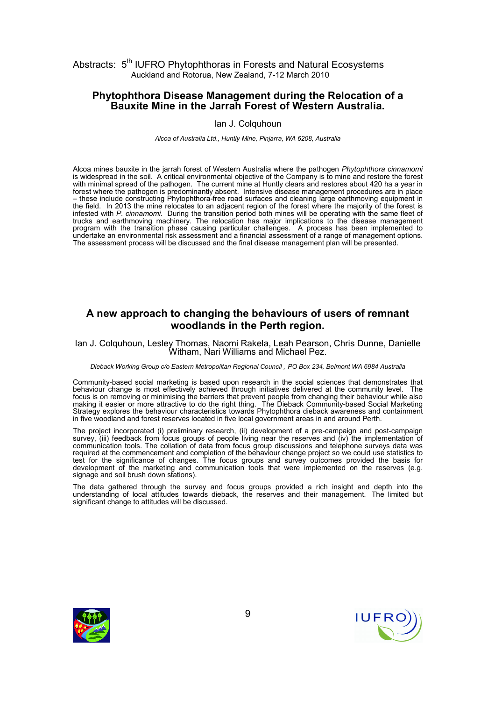#### Phytophthora Disease Management during the Relocation of a Bauxite Mine in the Jarrah Forest of Western Australia.

#### Ian J. Colquhoun

Alcoa of Australia Ltd., Huntly Mine, Pinjarra, WA 6208, Australia

Alcoa mines bauxite in the jarrah forest of Western Australia where the pathogen Phytophthora cinnamomi is widespread in the soil. A critical environmental objective of the Company is to mine and restore the forest with minimal spread of the pathogen. The current mine at Huntly clears and restores about 420 ha a year in forest where the pathogen is predominantly absent. Intensive disease management procedures are in place – these include constructing Phytophthora-free road surfaces and cleaning large earthmoving equipment in the field. In 2013 the mine relocates to an adjacent region of the forest where the majority of the forest is infested with P. cinnamomi. During the transition period both mines will be operating with the same fleet of trucks and earthmoving machinery. The relocation has major implications to the disease management program with the transition phase causing particular challenges. A process has been implemented to undertake an environmental risk assessment and a financial assessment of a range of management options. The assessment process will be discussed and the final disease management plan will be presented.

## A new approach to changing the behaviours of users of remnant woodlands in the Perth region.

Ian J. Colquhoun, Lesley Thomas, Naomi Rakela, Leah Pearson, Chris Dunne, Danielle Witham, Nari Williams and Michael Pez.

#### Dieback Working Group c/o Eastern Metropolitan Regional Council , PO Box 234, Belmont WA 6984 Australia

Community-based social marketing is based upon research in the social sciences that demonstrates that behaviour change is most effectively achieved through initiatives delivered at the community level. The focus is on removing or minimising the barriers that prevent people from changing their behaviour while also making it easier or more attractive to do the right thing. The Dieback Community-based Social Marketing Strategy explores the behaviour characteristics towards Phytophthora dieback awareness and containment in five woodland and forest reserves located in five local government areas in and around Perth.

The project incorporated (i) preliminary research, (ii) development of a pre-campaign and post-campaign survey, (iii) feedback from focus groups of people living near the reserves and (iv) the implementation of communication tools. The collation of data from focus group discussions and telephone surveys data was required at the commencement and completion of the behaviour change project so we could use statistics to test for the significance of changes. The focus groups and survey outcomes provided the basis for development of the marketing and communication tools that were implemented on the reserves (e.g. signage and soil brush down stations).

The data gathered through the survey and focus groups provided a rich insight and depth into the understanding of local attitudes towards dieback, the reserves and their management. The limited but significant change to attitudes will be discussed.



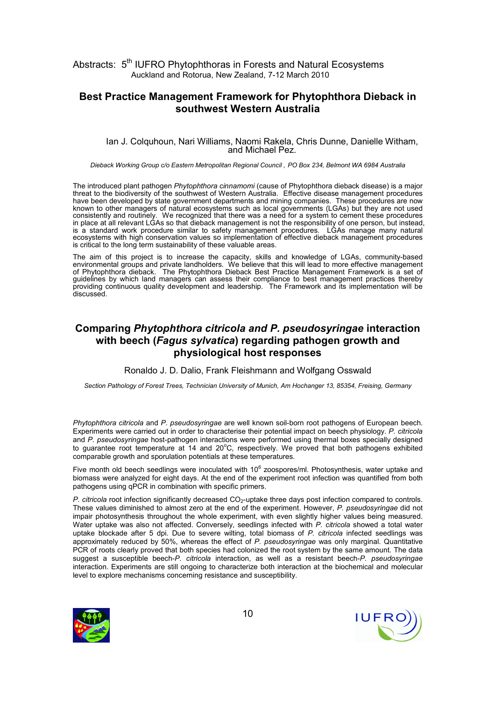#### Best Practice Management Framework for Phytophthora Dieback in southwest Western Australia

#### Ian J. Colquhoun, Nari Williams, Naomi Rakela, Chris Dunne, Danielle Witham, and Michael Pez.

Dieback Working Group c/o Eastern Metropolitan Regional Council , PO Box 234, Belmont WA 6984 Australia

The introduced plant pathogen Phytophthora cinnamomi (cause of Phytophthora dieback disease) is a major threat to the biodiversity of the southwest of Western Australia. Effective disease management procedures have been developed by state government departments and mining companies. These procedures are now known to other managers of natural ecosystems such as local governments (LGAs) but they are not used consistently and routinely. We recognized that there was a need for a system to cement these procedures in place at all relevant LGAs so that dieback management is not the responsibility of one person, but instead, is a standard work procedure similar to safety management procedures. LGAs manage many natural ecosystems with high conservation values so implementation of effective dieback management procedures is critical to the long term sustainability of these valuable areas.

The aim of this project is to increase the capacity, skills and knowledge of LGAs, community-based environmental groups and private landholders. We believe that this will lead to more effective management of Phytophthora dieback. The Phytophthora Dieback Best Practice Management Framework is a set of guidelines by which land managers can assess their compliance to best management practices thereby providing continuous quality development and leadership. The Framework and its implementation will be discussed.

## Comparing Phytophthora citricola and P. pseudosyringae interaction with beech (Fagus sylvatica) regarding pathogen growth and physiological host responses

Ronaldo J. D. Dalio, Frank Fleishmann and Wolfgang Osswald

Section Pathology of Forest Trees, Technician University of Munich, Am Hochanger 13, 85354, Freising, Germany

Phytophthora citricola and P. pseudosyringae are well known soil-born root pathogens of European beech. Experiments were carried out in order to characterise their potential impact on beech physiology. P. citricola and P. pseudosyringae host-pathogen interactions were performed using thermal boxes specially designed to guarantee root temperature at  $14$  and  $20^{\circ}$ C, respectively. We proved that both pathogens exhibited comparable growth and sporulation potentials at these temperatures.

Five month old beech seedlings were inoculated with 10 $^6$  zoospores/ml. Photosynthesis, water uptake and biomass were analyzed for eight days. At the end of the experiment root infection was quantified from both pathogens using qPCR in combination with specific primers.

P. citricola root infection significantly decreased  $CO<sub>2</sub>$ -uptake three days post infection compared to controls. These values diminished to almost zero at the end of the experiment. However, P. pseudosyringae did not impair photosynthesis throughout the whole experiment, with even slightly higher values being measured. Water uptake was also not affected. Conversely, seedlings infected with P. citricola showed a total water uptake blockade after 5 dpi. Due to severe wilting, total biomass of P. citricola infected seedlings was approximately reduced by 50%, whereas the effect of P. pseudosyringae was only marginal. Quantitative PCR of roots clearly proved that both species had colonized the root system by the same amount. The data suggest a susceptible beech-P. citricola interaction, as well as a resistant beech-P. pseudosyringae interaction. Experiments are still ongoing to characterize both interaction at the biochemical and molecular level to explore mechanisms concerning resistance and susceptibility.



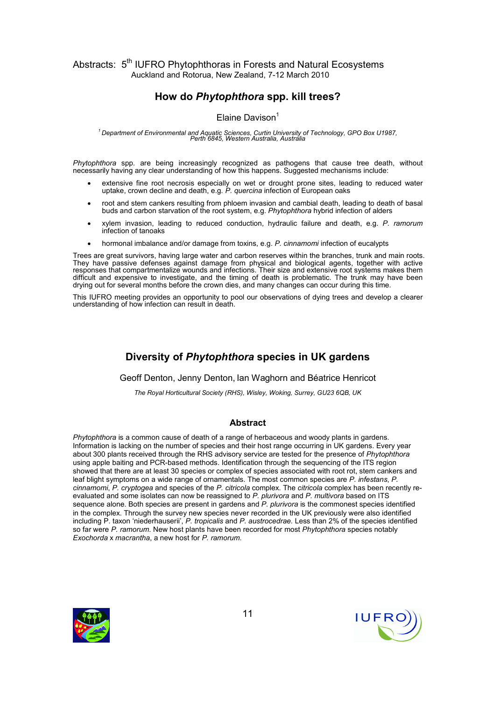# How do Phytophthora spp. kill trees?

#### Elaine Davison<sup>1</sup>

# $^{\prime}$ Department of Environmental and Aquatic Sciences, Curtin University of Technology, GPO Box U1987,<br>Perth 6845, Western Australia, Australia

Phytophthora spp. are being increasingly recognized as pathogens that cause tree death, without necessarily having any clear understanding of how this happens. Suggested mechanisms include:

- extensive fine root necrosis especially on wet or drought prone sites, leading to reduced water uptake, crown decline and death, e.g. P. quercina infection of European oaks
- root and stem cankers resulting from phloem invasion and cambial death, leading to death of basal buds and carbon starvation of the root system, e.g. Phytophthora hybrid infection of alders
- xylem invasion, leading to reduced conduction, hydraulic failure and death, e.g. P. ramorum infection of tanoaks
- hormonal imbalance and/or damage from toxins, e.g. P. cinnamomi infection of eucalypts

Trees are great survivors, having large water and carbon reserves within the branches, trunk and main roots. They have passive defenses against damage from physical and biological agents, together with active responses that compartmentalize wounds and infections. Their size and extensive root systems makes them difficult and expensive to investigate, and the timing of death is problematic. The trunk may have been drying out for several months before the crown dies, and many changes can occur during this time.

This IUFRO meeting provides an opportunity to pool our observations of dying trees and develop a clearer understanding of how infection can result in death.

# Diversity of Phytophthora species in UK gardens

Geoff Denton, Jenny Denton, Ian Waghorn and Béatrice Henricot

The Royal Horticultural Society (RHS), Wisley, Woking, Surrey, GU23 6QB, UK

#### Abstract

Phytophthora is a common cause of death of a range of herbaceous and woody plants in gardens. Information is lacking on the number of species and their host range occurring in UK gardens. Every year about 300 plants received through the RHS advisory service are tested for the presence of Phytophthora using apple baiting and PCR-based methods. Identification through the sequencing of the ITS region showed that there are at least 30 species or complex of species associated with root rot, stem cankers and leaf blight symptoms on a wide range of ornamentals. The most common species are P. infestans, P. cinnamomi, P. cryptogea and species of the P. citricola complex. The citricola complex has been recently reevaluated and some isolates can now be reassigned to P. plurivora and P. multivora based on ITS sequence alone. Both species are present in gardens and P. plurivora is the commonest species identified in the complex. Through the survey new species never recorded in the UK previously were also identified including P. taxon 'niederhauserii', P. tropicalis and P. austrocedrae. Less than 2% of the species identified so far were P. ramorum. New host plants have been recorded for most Phytophthora species notably Exochorda x macrantha, a new host for P. ramorum.



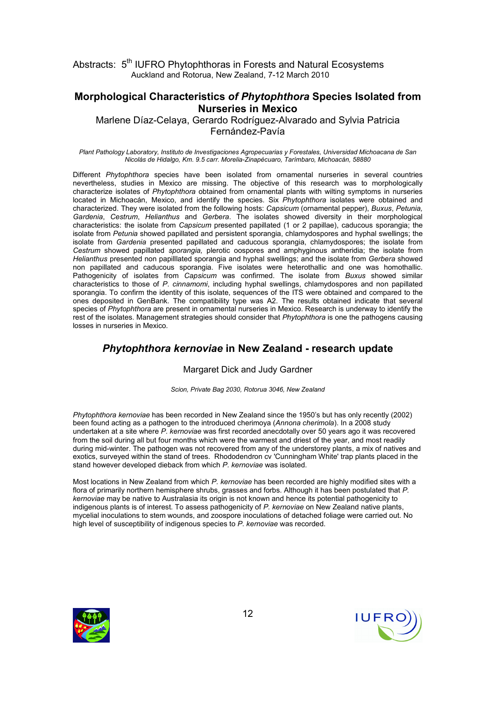#### Morphological Characteristics of Phytophthora Species Isolated from Nurseries in Mexico

Marlene Díaz-Celaya, Gerardo Rodríguez-Alvarado and Sylvia Patricia Fernández-Pavía

Plant Pathology Laboratory, Instituto de Investigaciones Agropecuarias y Forestales, Universidad Michoacana de San Nicolás de Hidalgo, Km. 9.5 carr. Morelia-Zinapécuaro, Tarímbaro, Michoacán, 58880

Different Phytophthora species have been isolated from ornamental nurseries in several countries nevertheless, studies in Mexico are missing. The objective of this research was to morphologically characterize isolates of Phytophthora obtained from ornamental plants with wilting symptoms in nurseries located in Michoacán, Mexico, and identify the species. Six Phytophthora isolates were obtained and characterized. They were isolated from the following hosts: Capsicum (ornamental pepper), Buxus, Petunia, Gardenia, Cestrum, Helianthus and Gerbera. The isolates showed diversity in their morphological characteristics: the isolate from Capsicum presented papillated (1 or 2 papillae), caducous sporangia; the isolate from Petunia showed papillated and persistent sporangia, chlamydospores and hyphal swellings; the isolate from Gardenia presented papillated and caducous sporangia, chlamydospores; the isolate from Cestrum showed papillated sporangia, plerotic oospores and amphyginous antheridia; the isolate from Helianthus presented non papilllated sporangia and hyphal swellings; and the isolate from Gerbera showed non papillated and caducous sporangia. Five isolates were heterothallic and one was homothallic. Pathogenicity of isolates from Capsicum was confirmed. The isolate from Buxus showed similar characteristics to those of P. cinnamomi, including hyphal swellings, chlamydospores and non papillated sporangia. To confirm the identity of this isolate, sequences of the ITS were obtained and compared to the ones deposited in GenBank. The compatibility type was A2. The results obtained indicate that several species of Phytophthora are present in ornamental nurseries in Mexico. Research is underway to identify the rest of the isolates. Management strategies should consider that Phytophthora is one the pathogens causing losses in nurseries in Mexico.

## Phytophthora kernoviae in New Zealand - research update

#### Margaret Dick and Judy Gardner

Scion, Private Bag 2030, Rotorua 3046, New Zealand

Phytophthora kernoviae has been recorded in New Zealand since the 1950's but has only recently (2002) been found acting as a pathogen to the introduced cherimoya (Annona cherimola). In a 2008 study undertaken at a site where P. kernoviae was first recorded anecdotally over 50 years ago it was recovered from the soil during all but four months which were the warmest and driest of the year, and most readily during mid-winter. The pathogen was not recovered from any of the understorey plants, a mix of natives and exotics, surveyed within the stand of trees. Rhododendron cv 'Cunningham White' trap plants placed in the stand however developed dieback from which P. kernoviae was isolated.

Most locations in New Zealand from which P. kernoviae has been recorded are highly modified sites with a flora of primarily northern hemisphere shrubs, grasses and forbs. Although it has been postulated that P. kernoviae may be native to Australasia its origin is not known and hence its potential pathogenicity to indigenous plants is of interest. To assess pathogenicity of P. kernoviae on New Zealand native plants, mycelial inoculations to stem wounds, and zoospore inoculations of detached foliage were carried out. No high level of susceptibility of indigenous species to P. kernoviae was recorded.



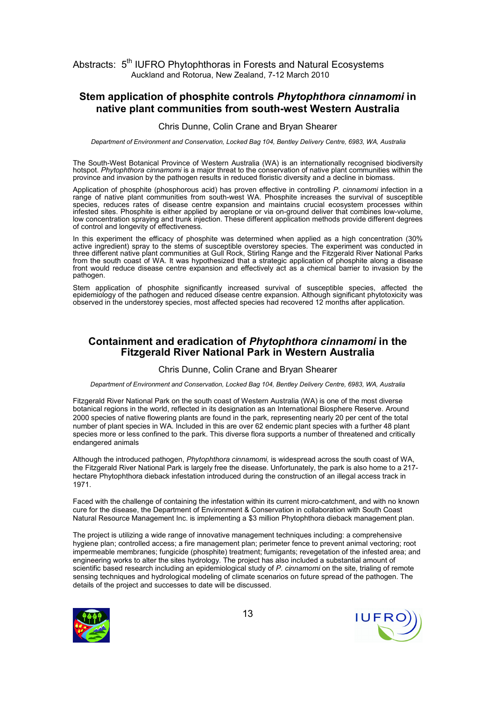#### Stem application of phosphite controls Phytophthora cinnamomi in native plant communities from south-west Western Australia

#### Chris Dunne, Colin Crane and Bryan Shearer

Department of Environment and Conservation, Locked Bag 104, Bentley Delivery Centre, 6983, WA, Australia

The South-West Botanical Province of Western Australia (WA) is an internationally recognised biodiversity hotspot. Phytophthora cinnamomi is a major threat to the conservation of native plant communities within the province and invasion by the pathogen results in reduced floristic diversity and a decline in biomass.

Application of phosphite (phosphorous acid) has proven effective in controlling P. cinnamomi infection in a range of native plant communities from south-west WA. Phosphite increases the survival of susceptible species, reduces rates of disease centre expansion and maintains crucial ecosystem processes within infested sites. Phosphite is either applied by aeroplane or via on-ground deliver that combines low-volume, low concentration spraying and trunk injection. These different application methods provide different degrees of control and longevity of effectiveness.

In this experiment the efficacy of phosphite was determined when applied as a high concentration (30% active ingredient) spray to the stems of susceptible overstorey species. The experiment was conducted in three different native plant communities at Gull Rock, Stirling Range and the Fitzgerald River National Parks from the south coast of WA. It was hypothesized that a strategic application of phosphite along a disease front would reduce disease centre expansion and effectively act as a chemical barrier to invasion by the pathogen.

Stem application of phosphite significantly increased survival of susceptible species, affected the epidemiology of the pathogen and reduced disease centre expansion. Although significant phytotoxicity was observed in the understorey species, most affected species had recovered 12 months after application.

#### Containment and eradication of Phytophthora cinnamomi in the Fitzgerald River National Park in Western Australia

#### Chris Dunne, Colin Crane and Bryan Shearer

Department of Environment and Conservation, Locked Bag 104, Bentley Delivery Centre, 6983, WA, Australia

Fitzgerald River National Park on the south coast of Western Australia (WA) is one of the most diverse botanical regions in the world, reflected in its designation as an International Biosphere Reserve. Around 2000 species of native flowering plants are found in the park, representing nearly 20 per cent of the total number of plant species in WA. Included in this are over 62 endemic plant species with a further 48 plant species more or less confined to the park. This diverse flora supports a number of threatened and critically endangered animals

Although the introduced pathogen, Phytophthora cinnamomi, is widespread across the south coast of WA, the Fitzgerald River National Park is largely free the disease. Unfortunately, the park is also home to a 217 hectare Phytophthora dieback infestation introduced during the construction of an illegal access track in 1971.

Faced with the challenge of containing the infestation within its current micro-catchment, and with no known cure for the disease, the Department of Environment & Conservation in collaboration with South Coast Natural Resource Management Inc. is implementing a \$3 million Phytophthora dieback management plan.

The project is utilizing a wide range of innovative management techniques including: a comprehensive hygiene plan; controlled access; a fire management plan; perimeter fence to prevent animal vectoring; root impermeable membranes; fungicide (phosphite) treatment; fumigants; revegetation of the infested area; and engineering works to alter the sites hydrology. The project has also included a substantial amount of scientific based research including an epidemiological study of P. cinnamomi on the site, trialing of remote sensing techniques and hydrological modeling of climate scenarios on future spread of the pathogen. The details of the project and successes to date will be discussed.



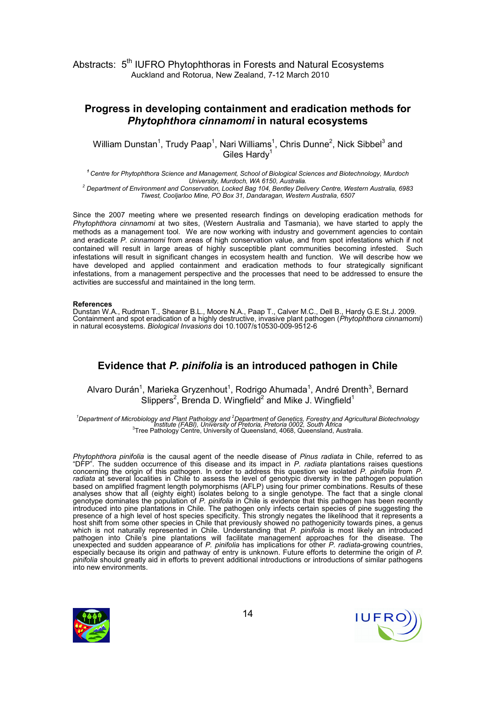# Progress in developing containment and eradication methods for Phytophthora cinnamomi in natural ecosystems

William Dunstan<sup>1</sup>, Trudy Paap<sup>1</sup>, Nari Williams<sup>1</sup>, Chris Dunne<sup>2</sup>, Nick Sibbel<sup>3</sup> and Giles Hard $v<sup>1</sup>$ 

<sup>1</sup> Centre for Phytophthora Science and Management, School of Biological Sciences and Biotechnology, Murdoch University, Murdoch, WA 6150, Australia. 2 Department of Environment and Conservation, Locked Bag 104, Bentley Delivery Centre, Western Australia, 6983 Tiwest, Cooljarloo Mine, PO Box 31, Dandaragan, Western Australia, 6507

Since the 2007 meeting where we presented research findings on developing eradication methods for Phytophthora cinnamomi at two sites, (Western Australia and Tasmania), we have started to apply the methods as a management tool. We are now working with industry and government agencies to contain and eradicate P. cinnamomi from areas of high conservation value, and from spot infestations which if not contained will result in large areas of highly susceptible plant communities becoming infested. Such infestations will result in significant changes in ecosystem health and function. We will describe how we have developed and applied containment and eradication methods to four strategically significant infestations, from a management perspective and the processes that need to be addressed to ensure the activities are successful and maintained in the long term.

#### References

Dunstan W.A., Rudman T., Shearer B.L., Moore N.A., Paap T., Calver M.C., Dell B., Hardy G.E.St.J. 2009. Containment and spot eradication of a highly destructive, invasive plant pathogen (Phytophthora cinnamomi) in natural ecosystems. Biological Invasions doi 10.1007/s10530-009-9512-6

## Evidence that P. pinifolia is an introduced pathogen in Chile

Alvaro Durán<sup>1</sup>, Marieka Gryzenhout<sup>1</sup>, Rodrigo Ahumada<sup>1</sup>, André Drenth<sup>3</sup>, Bernard Slippers<sup>2</sup>, Brenda D. Wingfield<sup>2</sup> and Mike J. Wingfield<sup>1</sup>

<sup>1</sup>Department of Microbiology and Plant Pathology and <sup>2</sup>Department of Genetics, Forestry and Agricultural Biotechnology Institute (FABI), University of Pretoria, Pretoria 0002, South Africa <sup>3</sup> Tree Pathology Centre, University of Queensland, 4068, Queensland, Australia.

Phytophthora pinifolia is the causal agent of the needle disease of Pinus radiata in Chile, referred to as "DFP". The sudden occurrence of this disease and its impact in P. radiata plantations raises questions concerning the origin of this pathogen. In order to address this question we isolated P. pinifolia from P. radiata at several localities in Chile to assess the level of genotypic diversity in the pathogen population based on amplified fragment length polymorphisms (AFLP) using four primer combinations. Results of these analyses show that all (eighty eight) isolates belong to a single genotype. The fact that a single clonal genotype dominates the population of P. pinifolia in Chile is evidence that this pathogen has been recently introduced into pine plantations in Chile. The pathogen only infects certain species of pine suggesting the presence of a high level of host species specificity. This strongly negates the likelihood that it represents a host shift from some other species in Chile that previously showed no pathogenicity towards pines, a genus which is not naturally represented in Chile. Understanding that P. pinifolia is most likely an introduced pathogen into Chile's pine plantations will facilitate management approaches for the disease. The unexpected and sudden appearance of P. pinifolia has implications for other P. radiata-growing countries, especially because its origin and pathway of entry is unknown. Future efforts to determine the origin of P. pinifolia should greatly aid in efforts to prevent additional introductions or introductions of similar pathogens into new environments.



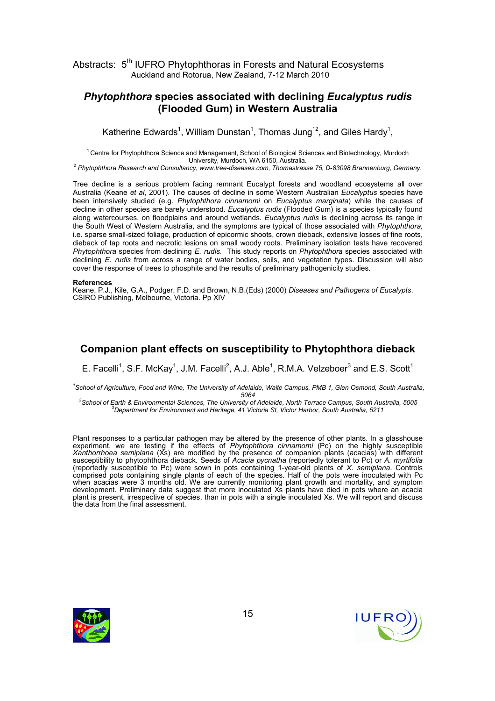## Phytophthora species associated with declining Eucalyptus rudis (Flooded Gum) in Western Australia

Katherine Edwards<sup>1</sup>, William Dunstan<sup>1</sup>, Thomas Jung<sup>12</sup>, and Giles Hardy<sup>1</sup>,

<sup>1</sup>Centre for Phytophthora Science and Management, School of Biological Sciences and Biotechnology, Murdoch University, Murdoch, WA 6150, Australia.

<sup>2</sup> Phytophthora Research and Consultancy, www.tree-diseases.com, Thomastrasse 75, D-83098 Brannenburg, Germany.

Tree decline is a serious problem facing remnant Eucalypt forests and woodland ecosystems all over Australia (Keane et al, 2001). The causes of decline in some Western Australian Eucalyptus species have been intensively studied (e.g. Phytophthora cinnamomi on Eucalyptus marginata) while the causes of decline in other species are barely understood. Eucalyptus rudis (Flooded Gum) is a species typically found along watercourses, on floodplains and around wetlands. Eucalyptus rudis is declining across its range in the South West of Western Australia, and the symptoms are typical of those associated with Phytophthora, i.e. sparse small-sized foliage, production of epicormic shoots, crown dieback, extensive losses of fine roots, dieback of tap roots and necrotic lesions on small woody roots. Preliminary isolation tests have recovered Phytophthora species from declining E. rudis. This study reports on Phytophthora species associated with declining E. rudis from across a range of water bodies, soils, and vegetation types. Discussion will also cover the response of trees to phosphite and the results of preliminary pathogenicity studies.

#### References

Keane, P.J., Kile, G.A., Podger, F.D. and Brown, N.B.(Eds) (2000) Diseases and Pathogens of Eucalypts. CSIRO Publishing, Melbourne, Victoria. Pp XIV

## Companion plant effects on susceptibility to Phytophthora dieback

E. Facelli<sup>1</sup>, S.F. McKay<sup>1</sup>, J.M. Facelli<sup>2</sup>, A.J. Able<sup>1</sup>, R.M.A. Velzeboer<sup>3</sup> and E.S. Scott<sup>1</sup>

<sup>1</sup>School of Agriculture, Food and Wine, The University of Adelaide, Waite Campus, PMB 1, Glen Osmond, South Australia, 5064

<sup>2</sup>School of Earth & Environmental Sciences, The University of Adelaide, North Terrace Campus, South Australia, 5005  ${}^{3}$ Department for Environment and Heritage, 41 Victoria St, Victor Harbor, South Australia, 5211

Plant responses to a particular pathogen may be altered by the presence of other plants. In a glasshouse experiment, we are testing if the effects of *Phytophthora cinnamomi* (Pc) on the highly susceptible Xanthorrhoea semiplana (Xs) are modified by the presence of companion plants (acacias) with different susceptibility to phytophthora dieback. Seeds of Acacia pycnatha (reportedly tolerant to Pc) or A. myrtifolia (reportedly susceptible to Pc) were sown in pots containing 1-year-old plants of X. semiplana. Controls comprised pots containing single plants of each of the species. Half of the pots were inoculated with Pc when acacias were 3 months old. We are currently monitoring plant growth and mortality, and symptom development. Preliminary data suggest that more inoculated Xs plants have died in pots where an acacia plant is present, irrespective of species, than in pots with a single inoculated Xs. We will report and discuss the data from the final assessment.



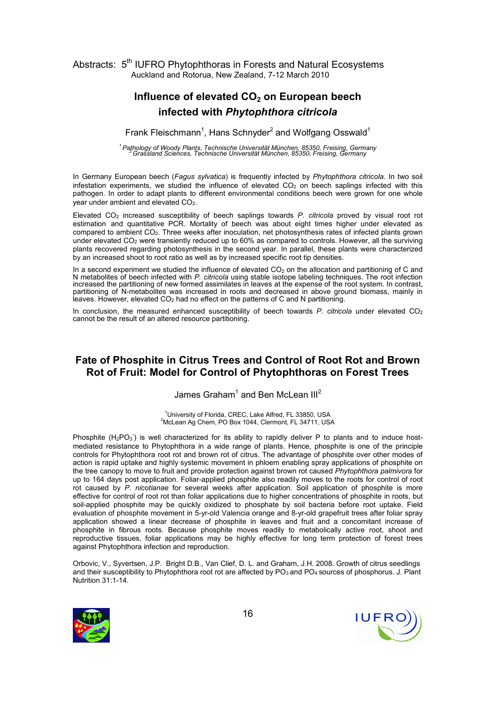# Influence of elevated  $CO<sub>2</sub>$  on European beech infected with Phytophthora citricola

Frank Fleischmann<sup>1</sup>, Hans Schnyder<sup>2</sup> and Wolfgang Osswald<sup>1</sup>

<sup>1</sup> Pathology of Woody Plants, Technische Universität München, 85350, Freising, Germany<br>2Grassland Sciences, Technische Universität München, 85350, Freising, Germany

In Germany European beech (Fagus sylvatica) is frequently infected by Phytophthora citricola. In two soil infestation experiments, we studied the influence of elevated  $CO<sub>2</sub>$  on beech saplings infected with this pathogen. In order to adapt plants to different environmental conditions beech were grown for one whole year under ambient and elevated CO2.

Elevated  $CO<sub>2</sub>$  increased susceptibility of beech saplings towards P. citricola proved by visual root rot estimation and quantitative PCR. Mortality of beech was about eight times higher under elevated as compared to ambient CO2. Three weeks after inoculation, net photosynthesis rates of infected plants grown under elevated CO<sub>2</sub> were transiently reduced up to 60% as compared to controls. However, all the surviving plants recovered regarding photosynthesis in the second year. In parallel, these plants were characterized by an increased shoot to root ratio as well as by increased specific root tip densities.

In a second experiment we studied the influence of elevated  $CO<sub>2</sub>$  on the allocation and partitioning of C and N metabolites of beech infected with P. citricola using stable isotope labeling techniques. The root infection increased the partitioning of new formed assimilates in leaves at the expense of the root system. In contrast, partitioning of N-metabolites was increased in roots and decreased in above ground biomass, mainly in leaves. However, elevated  $CO<sub>2</sub>$  had no effect on the patterns of C and N partitioning.

In conclusion, the measured enhanced susceptibility of beech towards  $P$ . citricola under elevated  $CO<sub>2</sub>$ cannot be the result of an altered resource partitioning.

# Fate of Phosphite in Citrus Trees and Control of Root Rot and Brown Rot of Fruit: Model for Control of Phytophthoras on Forest Trees

James Graham<sup>1</sup> and Ben McLean III<sup>2</sup>

<sup>1</sup>University of Florida, CREC, Lake Alfred, FL 33850, USA <sup>2</sup>McLean Ag Chem, PO Box 1044, Clermont, FL 34711, USA

Phosphite  $(H_2PO_3)$  is well characterized for its ability to rapidly deliver P to plants and to induce hostmediated resistance to Phytophthora in a wide range of plants. Hence, phosphite is one of the principle controls for Phytophthora root rot and brown rot of citrus. The advantage of phosphite over other modes of action is rapid uptake and highly systemic movement in phloem enabling spray applications of phosphite on the tree canopy to move to fruit and provide protection against brown rot caused Phytophthora palmivora for up to 164 days post application. Foliar-applied phosphite also readily moves to the roots for control of root rot caused by P. nicotianae for several weeks after application. Soil application of phosphite is more effective for control of root rot than foliar applications due to higher concentrations of phosphite in roots, but soil-applied phosphite may be quickly oxidized to phosphate by soil bacteria before root uptake. Field evaluation of phosphite movement in 5-yr-old Valencia orange and 8-yr-old grapefruit trees after foliar spray application showed a linear decrease of phosphite in leaves and fruit and a concomitant increase of phosphite in fibrous roots. Because phosphite moves readily to metabolically active root, shoot and reproductive tissues, foliar applications may be highly effective for long term protection of forest trees against Phytophthora infection and reproduction.

Orbovic, V., Syvertsen, J.P. Bright D.B., Van Clief, D. L. and Graham, J.H. 2008. Growth of citrus seedlings and their susceptibility to Phytophthora root rot are affected by  $PQ_3$  and  $PQ_4$  sources of phosphorus. J. Plant Nutrition 31:1-14.

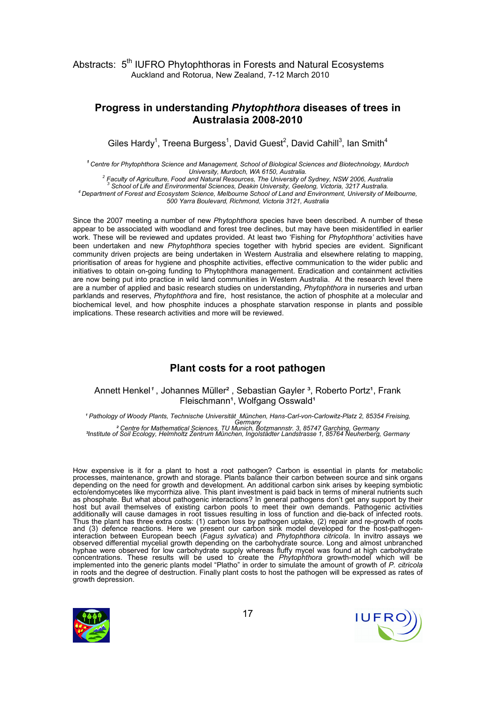#### Progress in understanding Phytophthora diseases of trees in Australasia 2008-2010

Giles Hardy<sup>1</sup>, Treena Burgess<sup>1</sup>, David Guest<sup>2</sup>, David Cahill<sup>3</sup>, Ian Smith<sup>4</sup>

<sup>1</sup> Centre for Phytophthora Science and Management, School of Biological Sciences and Biotechnology, Murdoch University, Murdoch, WA 6150, Australia.

 $^2$  Faculty of Agriculture, Food and Natural Resources, The University of Sydney, NSW 2006, Australia 3 School of Life and Environmental Sciences, Deakin University, Geelong, Victoria, 3217 Australia. <sup>4</sup>Department of Forest and Ecosystem Science, Melbourne School of Land and Environment, University of Melbourne, 500 Yarra Boulevard, Richmond, Victoria 3121, Australia

Since the 2007 meeting a number of new Phytophthora species have been described. A number of these appear to be associated with woodland and forest tree declines, but may have been misidentified in earlier work. These will be reviewed and updates provided. At least two 'Fishing for Phytophthora' activities have been undertaken and new Phytophthora species together with hybrid species are evident. Significant community driven projects are being undertaken in Western Australia and elsewhere relating to mapping, prioritisation of areas for hygiene and phosphite activities, effective communication to the wider public and initiatives to obtain on-going funding to Phytophthora management. Eradication and containment activities are now being put into practice in wild land communities in Western Australia. At the research level there are a number of applied and basic research studies on understanding, *Phytophthora* in nurseries and urban parklands and reserves, Phytophthora and fire, host resistance, the action of phosphite at a molecular and biochemical level, and how phosphite induces a phosphate starvation response in plants and possible implications. These research activities and more will be reviewed.

# Plant costs for a root pathogen

Annett Henkel<sup>1</sup>, Johannes Müller<sup>2</sup>, Sebastian Gayler<sup>3</sup>, Roberto Portz<sup>1</sup>, Frank Fleischmann<sup>1</sup>, Wolfgang Osswald<sup>1</sup>

<sup>1</sup> Pathology of Woody Plants, Technische Universität München, Hans-Carl-von-Carlowitz-Platz 2, 85354 Freising, Germany ² Centre for Mathematical Sciences, TU Munich, Botzmannstr. 3, 85747 Garching, Germany ³Institute of Soil Ecology, Helmholtz Zentrum München, Ingolstädter Landstrasse 1, 85764 Neuherberg, Germany

How expensive is it for a plant to host a root pathogen? Carbon is essential in plants for metabolic processes, maintenance, growth and storage. Plants balance their carbon between source and sink organs depending on the need for growth and development. An additional carbon sink arises by keeping symbiotic ecto/endomycetes like mycorrhiza alive. This plant investment is paid back in terms of mineral nutrients such as phosphate. But what about pathogenic interactions? In general pathogens don't get any support by their host but avail themselves of existing carbon pools to meet their own demands. Pathogenic activities additionally will cause damages in root tissues resulting in loss of function and die-back of infected roots. Thus the plant has three extra costs: (1) carbon loss by pathogen uptake, (2) repair and re-growth of roots and (3) defence reactions. Here we present our carbon sink model developed for the host-pathogeninteraction between European beech (Fagus sylvatica) and Phytophthora citricola. In invitro assays we observed differential mycelial growth depending on the carbohydrate source. Long and almost unbranched hyphae were observed for low carbohydrate supply whereas fluffy mycel was found at high carbohydrate concentrations. These results will be used to create the Phytophthora growth-model which will be implemented into the generic plants model "Platho" in order to simulate the amount of growth of P. citricola in roots and the degree of destruction. Finally plant costs to host the pathogen will be expressed as rates of growth depression.

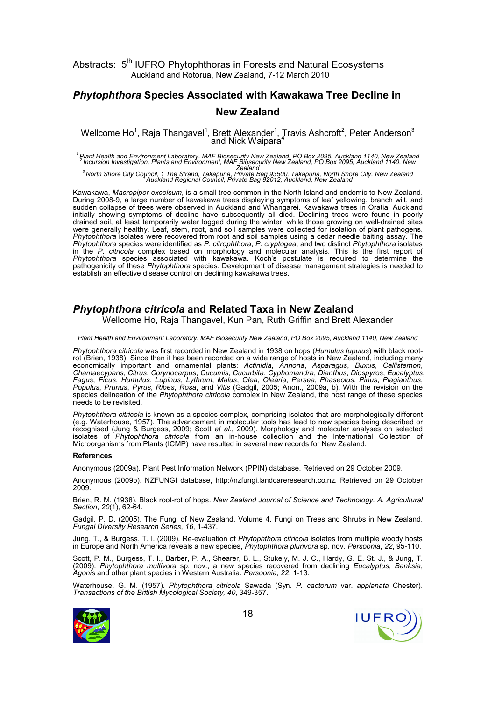# Phytophthora Species Associated with Kawakawa Tree Decline in New Zealand

Wellcome Ho<sup>1</sup>, Raja Thangavel<sup>1</sup>, Brett Alexander<sup>1</sup>, Travis Ashcroft<sup>2</sup>, Peter Anderson<sup>3</sup> and Nick Waipara<sup>4</sup>

<sup>1</sup> Plant Health and Environment Laboratory, MAF Biosecurity New Zealand, PO Box 2095, Auckland 1140, New Zealand<br><sup>2</sup> Incursion Investigation, Plants and Environment, MAF Biosecurity New Zealand, PO Box 2095, Auckland 1140

zealand<br>3North Shore City Council, 1 The Strand, Takapuna, Private Bag 93500, Takapuna, North Shore City, New Zealand<br>4Auckland Regional Council, Private Bag 92012, Auckland, New Zealand, New Zealand

Kawakawa, Macropiper excelsum, is a small tree common in the North Island and endemic to New Zealand. During 2008-9, a large number of kawakawa trees displaying symptoms of leaf yellowing, branch wilt, and sudden collapse of trees were observed in Auckland and Whangarei. Kawakawa trees in Oratia, Auckland initially showing symptoms of decline have subsequently all died. Declining trees were found in poorly drained soil, at least temporarily water logged during the winter, while those growing on well-drained sites were generally healthy. Leaf, stem, root, and soil samples were collected for isolation of plant pathogens. Phytophthora isolates were recovered from root and soil samples using a cedar needle baiting assay. The Phytophthora species were identified as P. citrophthora, P. cryptogea, and two distinct Phytophthora isolates in the P. citricola complex based on morphology and molecular analysis. This is the first report of Phytophthora species associated with kawakawa. Koch's postulate is required to determine the pathogenicity of these Phytophthora species. Development of disease management strategies is needed to establish an effective disease control on declining kawakawa trees.

## Phytophthora citricola and Related Taxa in New Zealand

Wellcome Ho, Raja Thangavel, Kun Pan, Ruth Griffin and Brett Alexander

Plant Health and Environment Laboratory, MAF Biosecurity New Zealand, PO Box 2095, Auckland 1140, New Zealand

Phytophthora citricola was first recorded in New Zealand in 1938 on hops (Humulus lupulus) with black rootrot (Brien, 1938). Since then it has been recorded on a wide range of hosts in New Zealand, including many economically important and ornamental plants: Actinidia, Annona, Asparagus, Buxus, Callistemon, Chamaecyparis, Citrus, Corynocarpus, Cucumis, Cucurbita, Cyphomandra, Dianthus, Diospyros, Eucalyptus, Fagus, Ficus, Humulus, Lupinus, Lythrum, Malus, Olea, Olearia, Persea, Phaseolus, Pinus, Plagianthus, Populus, Prunus, Pyrus, Ribes, Rosa, and Vitis (Gadgil, 2005; Anon., 2009a, b). With the revision on the species delineation of the Phytophthora citricola complex in New Zealand, the host range of these species needs to be revisited.

Phytophthora citricola is known as a species complex, comprising isolates that are morphologically different (e.g. Waterhouse, 1957). The advancement in molecular tools has lead to new species being described or recognised (Jung & Burgess, 2009; Scott et al., 2009). Morphology and molecular analyses on selected isolates of Phytophthora citricola from an in-house collection and the International Collection of Microorganisms from Plants (ICMP) have resulted in several new records for New Zealand.

#### References

Anonymous (2009a). Plant Pest Information Network (PPIN) database. Retrieved on 29 October 2009.

Anonymous (2009b). NZFUNGI database, http://nzfungi.landcareresearch.co.nz. Retrieved on 29 October 2009.

Brien, R. M. (1938). Black root-rot of hops. New Zealand Journal of Science and Technology. A. Agricultural Section, 20(1), 62-64.

Gadgil, P. D. (2005). The Fungi of New Zealand. Volume 4. Fungi on Trees and Shrubs in New Zealand. Fungal Diversity Research Series, 16, 1-437.

Jung, T., & Burgess, T. I. (2009). Re-evaluation of Phytophthora citricola isolates from multiple woody hosts in Europe and North America reveals a new species, Phytophthora plurivora sp. nov. Persoonia, 22, 95-110.

Scott, P. M., Burgess, T. I., Barber, P. A., Shearer, B. L., Stukely, M. J. C., Hardy, G. E. St. J., & Jung, T. (2009). Phytophthora multivora sp. nov., a new species recovered from declining Eucalyptus, Banksia, Agonis and other plant species in Western Australia. Persoonia, 22, 1-13.

Waterhouse, G. M. (1957). Phytophthora citricola Sawada (Syn. P. cactorum var. applanata Chester). Transactions of the British Mycological Society, 40, 349-357.



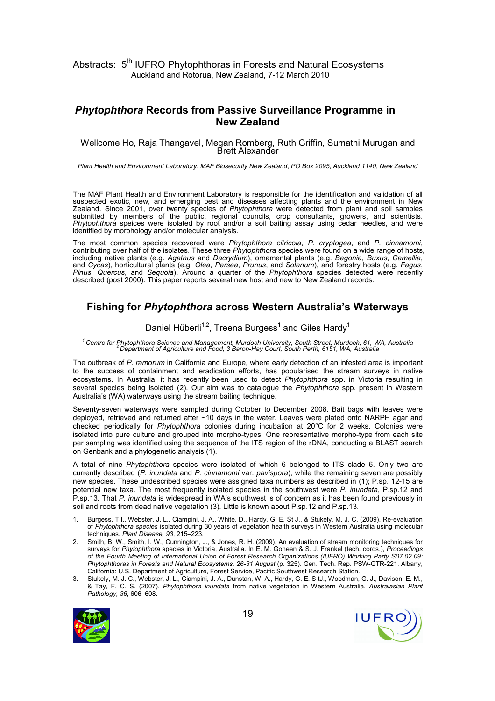#### Phytophthora Records from Passive Surveillance Programme in New Zealand

#### Wellcome Ho, Raja Thangavel, Megan Romberg, Ruth Griffin, Sumathi Murugan and Brett Alexander

Plant Health and Environment Laboratory, MAF Biosecurity New Zealand, PO Box 2095, Auckland 1140, New Zealand

The MAF Plant Health and Environment Laboratory is responsible for the identification and validation of all suspected exotic, new, and emerging pest and diseases affecting plants and the environment in New Zealand. Since 2001, over twenty species of Phytophthora were detected from plant and soil samples submitted by members of the public, regional councils, crop consultants, growers, and scientists. Phytophthora speices were isolated by root and/or a soil baiting assay using cedar needles, and were identified by morphology and/or molecular analysis.

The most common species recovered were Phytophthora citricola, P. cryptogea, and P. cinnamomi, contributing over half of the isolates. These three Phytophthora species were found on a wide range of hosts, including native plants (e.g. Agathus and Dacrydium), ornamental plants (e.g. Begonia, Buxus, Camellia, and Cycas), horticultural plants (e.g. Olea, Persea, Prunus, and Solanum), and forestry hosts (e.g. Fagus, Pinus, Quercus, and Sequoia). Around a quarter of the Phytophthora species detected were recently described (post 2000). This paper reports several new host and new to New Zealand records.

#### Fishing for Phytophthora across Western Australia's Waterways

#### Daniel Hüberli<sup>1,2</sup>, Treena Burgess<sup>1</sup> and Giles Hardy<sup>1</sup>

<sup>1</sup> Centre for Phytophthora Science and Management, Murdoch University, South Street, Murdoch, 61, WA, Australia<br><sup>2</sup>Department of Agriculture and Food, 3 Baron-Hay Court, South Perth, 6151, WA, Australia

The outbreak of P. ramorum in California and Europe, where early detection of an infested area is important to the success of containment and eradication efforts, has popularised the stream surveys in native ecosystems. In Australia, it has recently been used to detect Phytophthora spp. in Victoria resulting in several species being isolated (2). Our aim was to catalogue the Phytophthora spp. present in Western Australia's (WA) waterways using the stream baiting technique.

Seventy-seven waterways were sampled during October to December 2008. Bait bags with leaves were deployed, retrieved and returned after ~10 days in the water. Leaves were plated onto NARPH agar and checked periodically for Phytophthora colonies during incubation at 20°C for 2 weeks. Colonies were isolated into pure culture and grouped into morpho-types. One representative morpho-type from each site per sampling was identified using the sequence of the ITS region of the rDNA, conducting a BLAST search on Genbank and a phylogenetic analysis (1).

A total of nine Phytophthora species were isolated of which 6 belonged to ITS clade 6. Only two are currently described (P. inundata and P. cinnamomi var. pavispora), while the remaining seven are possibly new species. These undescribed species were assigned taxa numbers as described in (1); P.sp. 12-15 are potential new taxa. The most frequently isolated species in the southwest were P. inundata, P.sp.12 and P.sp.13. That P. inundata is widespread in WA's southwest is of concern as it has been found previously in soil and roots from dead native vegetation (3). Little is known about P.sp.12 and P.sp.13.

- 1. Burgess, T.I., Webster, J. L., Ciampini, J. A., White, D., Hardy, G. E. St J., & Stukely, M. J. C. (2009). Re-evaluation of Phytophthora species isolated during 30 years of vegetation health surveys in Western Australia using molecular techniques. Plant Disease, 93, 215–223.
- 2. Smith, B. W., Smith, I. W., Cunnington, J., & Jones, R. H. (2009). An evaluation of stream monitoring techniques for surveys for Phytophthora species in Victoria, Australia. In E. M. Goheen & S. J. Frankel (tech. cords.), Proceedings of the Fourth Meeting of International Union of Forest Research Organizations (IUFRO) Working Party S07.02.09: Phytophthoras in Forests and Natural Ecosystems, 26-31 August (p. 325). Gen. Tech. Rep. PSW-GTR-221. Albany, California: U.S. Department of Agriculture, Forest Service, Pacific Southwest Research Station.
- 3. Stukely, M. J. C., Webster, J. L., Ciampini, J. A., Dunstan, W. A., Hardy, G. E. S tJ., Woodman, G. J., Davison, E. M., & Tay, F. C. S. (2007). Phytophthora inundata from native vegetation in Western Australia. Australasian Plant Pathology, 36, 606-608.



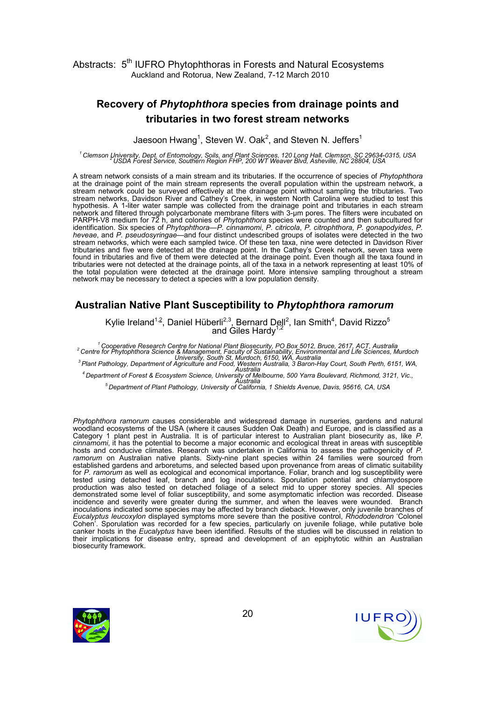# Recovery of Phytophthora species from drainage points and tributaries in two forest stream networks

Jaesoon Hwang<sup>1</sup>, Steven W. Oak<sup>2</sup>, and Steven N. Jeffers<sup>1</sup>

<sup>1</sup> Clemson University, Dept. of Entomology, Soils, and Plant Sciences, 120 Long Hall, Clemson, SC 29634-0315, USA<br>2USDA Forest Service, Southern Region FHP, 200 WT Weaver Blvd, Asheville, NC 28804, USA

A stream network consists of a main stream and its tributaries. If the occurrence of species of Phytophthora at the drainage point of the main stream represents the overall population within the upstream network, a stream network could be surveyed effectively at the drainage point without sampling the tributaries. Two stream networks, Davidson River and Cathey's Creek, in western North Carolina were studied to test this hypothesis. A 1-liter water sample was collected from the drainage point and tributaries in each stream network and filtered through polycarbonate membrane filters with 3-µm pores. The filters were incubated on PARPH-V8 medium for 72 h, and colonies of Phytophthora species were counted and then subcultured for identification. Six species of Phytophthora—P. cinnamomi, P. citricola, P. citrophthora, P. gonapodyides, P. heveae, and P. pseudosyringae—and four distinct undescribed groups of isolates were detected in the two stream networks, which were each sampled twice. Of these ten taxa, nine were detected in Davidson River tributaries and five were detected at the drainage point. In the Cathey's Creek network, seven taxa were found in tributaries and five of them were detected at the drainage point. Even though all the taxa found in tributaries were not detected at the drainage points, all of the taxa in a network representing at least 10% of the total population were detected at the drainage point. More intensive sampling throughout a stream network may be necessary to detect a species with a low population density.

# Australian Native Plant Susceptibility to Phytophthora ramorum

Kylie Ireland<sup>1,2</sup>, Daniel Hüberli<sup>2,3</sup>, Bernard Dell<sup>2</sup>, Ian Smith<sup>4</sup>, David Rizzo<sup>5</sup> and Giles Hardy<sup>1,2</sup>

<sup>1</sup>Cooperative Research Centre for National Plant Biosecurity, PO Box 5012, Bruce, 2617, ACT, Australia <sup>2</sup>Centre for Phytophthora Science & Management, Faculty of Sustainability, Environmental and Life Sciences, Murdoch University, South St, Murdoch, 6150, WA, Australia <sup>3</sup>Plant Pathology, Department of Agriculture and Food, Western Australia, 3 Baron-Hay Court, South Perth, 6151, WA,

Australia <sup>4</sup>Department of Forest & Ecosystem Science, University of Melbourne, 500 Yarra Boulevard, Richmond, 3121, Vic.,

Australia <sup>5</sup>Department of Plant Pathology, University of California, 1 Shields Avenue, Davis, 95616, CA, USA

Phytophthora ramorum causes considerable and widespread damage in nurseries, gardens and natural woodland ecosystems of the USA (where it causes Sudden Oak Death) and Europe, and is classified as a Category 1 plant pest in Australia. It is of particular interest to Australian plant biosecurity as, like P. cinnamomi, it has the potential to become a major economic and ecological threat in areas with susceptible hosts and conducive climates. Research was undertaken in California to assess the pathogenicity of P. ramorum on Australian native plants. Sixty-nine plant species within 24 families were sourced from established gardens and arboretums, and selected based upon provenance from areas of climatic suitability for P. ramorum as well as ecological and economical importance. Foliar, branch and log susceptibility were tested using detached leaf, branch and log inoculations. Sporulation potential and chlamydospore production was also tested on detached foliage of a select mid to upper storey species. All species demonstrated some level of foliar susceptibility, and some asymptomatic infection was recorded. Disease incidence and severity were greater during the summer, and when the leaves were wounded. Branch inoculations indicated some species may be affected by branch dieback. However, only juvenile branches of Eucalyptus leucoxylon displayed symptoms more severe than the positive control, Rhododendron 'Colonel Cohen'. Sporulation was recorded for a few species, particularly on juvenile foliage, while putative bole canker hosts in the *Eucalyptus* have been identified. Results of the studies will be discussed in relation to their implications for disease entry, spread and development of an epiphytotic within an Australian biosecurity framework.



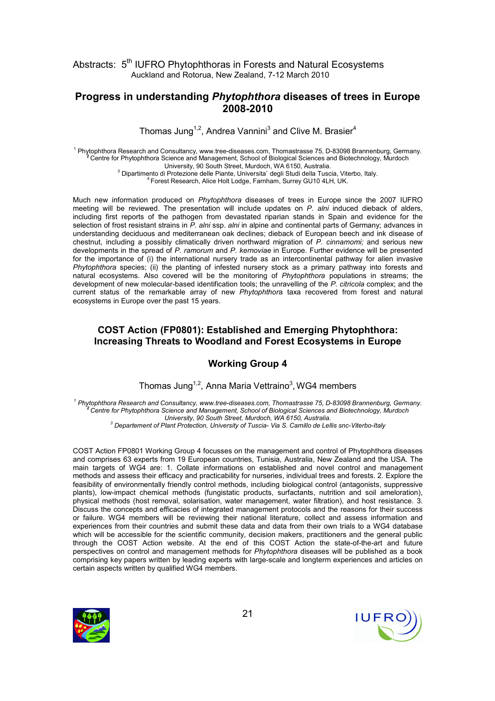#### Progress in understanding Phytophthora diseases of trees in Europe 2008-2010

Thomas Jung<sup>1,2</sup>, Andrea Vannini<sup>3</sup> and Clive M. Brasier<sup>4</sup>

<sup>1</sup> Phytophthora Research and Consultancy, www.tree-diseases.com, Thomastrasse 75, D-83098 Brannenburg, Germany. <sup>2</sup>Centre for Phytophthora Science and Management, School of Biological Sciences and Biotechnology, Murdoch University, 90 South Street, Murdoch, WA 6150, Australia.

<sup>3</sup> Dipartimento di Protezione delle Piante, Universita` degli Studi della Tuscia, Viterbo, Italy.

<sup>4</sup>Forest Research, Alice Holt Lodge, Farnham, Surrey GU10 4LH, UK.

Much new information produced on Phytophthora diseases of trees in Europe since the 2007 IUFRO meeting will be reviewed. The presentation will include updates on P. alni induced dieback of alders, including first reports of the pathogen from devastated riparian stands in Spain and evidence for the selection of frost resistant strains in P. alni ssp. alni in alpine and continental parts of Germany; advances in understanding deciduous and mediterranean oak declines; dieback of European beech and ink disease of chestnut, including a possibly climatically driven northward migration of P. cinnamomi; and serious new developments in the spread of P. ramorum and P. kernoviae in Europe. Further evidence will be presented for the importance of (i) the international nursery trade as an intercontinental pathway for alien invasive Phytophthora species; (ii) the planting of infested nursery stock as a primary pathway into forests and natural ecosystems. Also covered will be the monitoring of Phytophthora populations in streams; the development of new molecular-based identification tools; the unravelling of the P. citricola complex; and the current status of the remarkable array of new Phytophthora taxa recovered from forest and natural ecosystems in Europe over the past 15 years.

#### COST Action (FP0801): Established and Emerging Phytophthora: Increasing Threats to Woodland and Forest Ecosystems in Europe

#### Working Group 4

Thomas Jung<sup>1,2</sup>, Anna Maria Vettraino<sup>3</sup>, WG4 members

<sup>1</sup> Phytophthora Research and Consultancy, www.tree-diseases.com, Thomastrasse 75, D-83098 Brannenburg, Germany. <sup>2</sup>Centre for Phytophthora Science and Management, School of Biological Sciences and Biotechnology, Murdoch University, 90 South Street, Murdoch, WA 6150, Australia.

<sup>3</sup> Departement of Plant Protection, University of Tuscia- Via S. Camillo de Lellis snc-Viterbo-Italy

COST Action FP0801 Working Group 4 focusses on the management and control of Phytophthora diseases and comprises 63 experts from 19 European countries, Tunisia, Australia, New Zealand and the USA. The main targets of WG4 are: 1. Collate informations on established and novel control and management methods and assess their efficacy and practicability for nurseries, individual trees and forests. 2. Explore the feasibility of environmentally friendly control methods, including biological control (antagonists, suppressive plants), low-impact chemical methods (fungistatic products, surfactants, nutrition and soil ameloration), physical methods (host removal, solarisation, water management, water filtration), and host resistance. 3. Discuss the concepts and efficacies of integrated management protocols and the reasons for their success or failure. WG4 members will be reviewing their national literature, collect and assess information and experiences from their countries and submit these data and data from their own trials to a WG4 database which will be accessible for the scientific community, decision makers, practitioners and the general public through the COST Action website. At the end of this COST Action the state-of-the-art and future perspectives on control and management methods for Phytophthora diseases will be published as a book comprising key papers written by leading experts with large-scale and longterm experiences and articles on certain aspects written by qualified WG4 members.



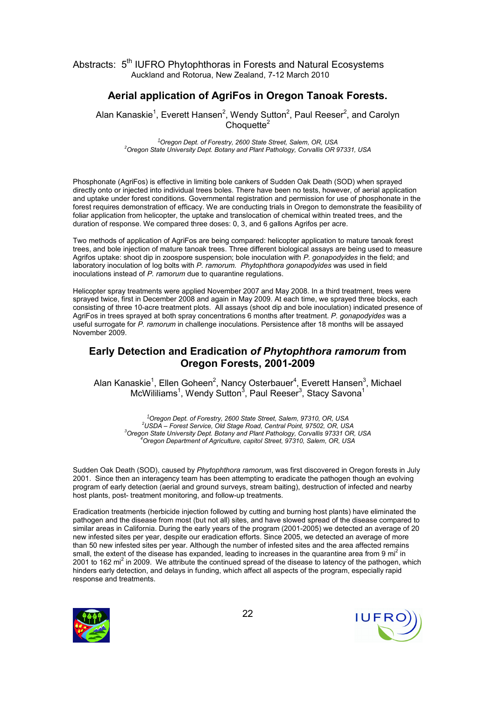# Aerial application of AgriFos in Oregon Tanoak Forests.

Alan Kanaskie<sup>1</sup>, Everett Hansen<sup>2</sup>, Wendy Sutton<sup>2</sup>, Paul Reeser<sup>2</sup>, and Carolyn  $Chouette<sup>2</sup>$ 

 $1$ Oregon Dept. of Forestry, 2600 State Street, Salem, OR, USA <sup>2</sup> Oregon State University Dept. Botany and Plant Pathology, Corvallis OR 97331, USA

Phosphonate (AgriFos) is effective in limiting bole cankers of Sudden Oak Death (SOD) when sprayed directly onto or injected into individual trees boles. There have been no tests, however, of aerial application and uptake under forest conditions. Governmental registration and permission for use of phosphonate in the forest requires demonstration of efficacy. We are conducting trials in Oregon to demonstrate the feasibility of foliar application from helicopter, the uptake and translocation of chemical within treated trees, and the duration of response. We compared three doses: 0, 3, and 6 gallons Agrifos per acre.

Two methods of application of AgriFos are being compared: helicopter application to mature tanoak forest trees, and bole injection of mature tanoak trees. Three different biological assays are being used to measure Agrifos uptake: shoot dip in zoospore suspension; bole inoculation with P. gonapodyides in the field; and laboratory inoculation of log bolts with P. ramorum. Phytophthora gonapodyides was used in field inoculations instead of P. ramorum due to quarantine regulations.

Helicopter spray treatments were applied November 2007 and May 2008. In a third treatment, trees were sprayed twice, first in December 2008 and again in May 2009. At each time, we sprayed three blocks, each consisting of three 10-acre treatment plots. All assays (shoot dip and bole inoculation) indicated presence of AgriFos in trees sprayed at both spray concentrations 6 months after treatment. P. gonapodyides was a useful surrogate for P. ramorum in challenge inoculations. Persistence after 18 months will be assayed November 2009.

#### Early Detection and Eradication of Phytophthora ramorum from Oregon Forests, 2001-2009

Alan Kanaskie<sup>1</sup>, Ellen Goheen<sup>2</sup>, Nancy Osterbauer<sup>4</sup>, Everett Hansen<sup>3</sup>, Michael  $\,$ McWililiams $^1$ , Wendy Sutton $^3$ , Paul Reeser $^3$ , Stacy Savona $^1$ 

Oregon Dept. of Forestry, 2600 State Street, Salem, 97310, OR, USA USDA – Forest Service, Old Stage Road, Central Point, 97502, OR, USA Oregon State University Dept. Botany and Plant Pathology, Corvallis 97331 OR, USA Oregon Department of Agriculture, capitol Street, 97310, Salem, OR, USA

Sudden Oak Death (SOD), caused by Phytophthora ramorum, was first discovered in Oregon forests in July 2001. Since then an interagency team has been attempting to eradicate the pathogen though an evolving program of early detection (aerial and ground surveys, stream baiting), destruction of infected and nearby host plants, post- treatment monitoring, and follow-up treatments.

Eradication treatments (herbicide injection followed by cutting and burning host plants) have eliminated the pathogen and the disease from most (but not all) sites, and have slowed spread of the disease compared to similar areas in California. During the early years of the program (2001-2005) we detected an average of 20 new infested sites per year, despite our eradication efforts. Since 2005, we detected an average of more than 50 new infested sites per year. Although the number of infested sites and the area affected remains small, the extent of the disease has expanded, leading to increases in the quarantine area from 9 mi<sup>2</sup> in 2001 to 162 mi<sup>2</sup> in 2009. We attribute the continued spread of the disease to latency of the pathogen, which hinders early detection, and delays in funding, which affect all aspects of the program, especially rapid response and treatments.



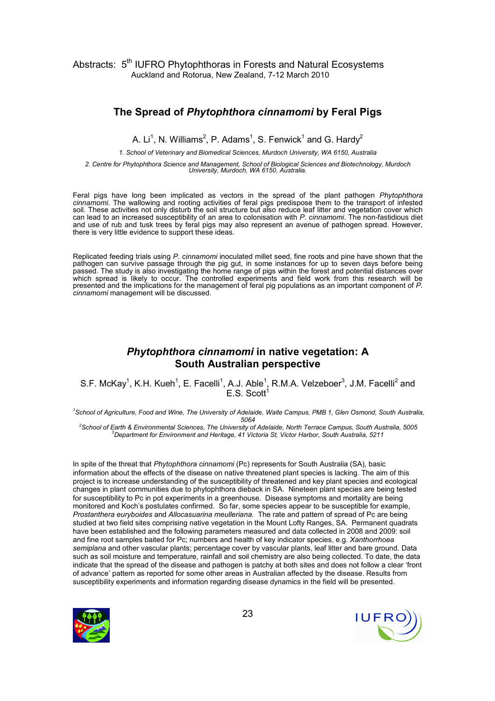#### The Spread of Phytophthora cinnamomi by Feral Pigs

A. Li<sup>1</sup>, N. Williams<sup>2</sup>, P. Adams<sup>1</sup>, S. Fenwick<sup>1</sup> and G. Hardy<sup>2</sup>

1. School of Veterinary and Biomedical Sciences, Murdoch University, WA 6150, Australia

2. Centre for Phytophthora Science and Management, School of Biological Sciences and Biotechnology, Murdoch University, Murdoch, WA 6150, Australia.

Feral pigs have long been implicated as vectors in the spread of the plant pathogen Phytophthora cinnamomi. The wallowing and rooting activities of feral pigs predispose them to the transport of infested soil. These activities not only disturb the soil structure but also reduce leaf litter and vegetation cover which can lead to an increased susceptibility of an area to colonisation with P. cinnamomi. The non-fastidious diet and use of rub and tusk trees by feral pigs may also represent an avenue of pathogen spread. However, there is very little evidence to support these ideas.

Replicated feeding trials using P. cinnamomi inoculated millet seed, fine roots and pine have shown that the pathogen can survive passage through the pig gut, in some instances for up to seven days before being passed. The study is also investigating the home range of pigs within the forest and potential distances over which spread is likely to occur. The controlled experiments and field work from this research will be presented and the implications for the management of feral pig populations as an important component of P. cinnamomi management will be discussed.

## Phytophthora cinnamomi in native vegetation: A South Australian perspective

S.F. McKay<sup>1</sup>, K.H. Kueh<sup>1</sup>, E. Facelli<sup>1</sup>, A.J. Able<sup>1</sup>, R.M.A. Velzeboer<sup>3</sup>, J.M. Facelli<sup>2</sup> and  $E.S.$  Scott<sup>1</sup>

<sup>1</sup>School of Agriculture, Food and Wine, The University of Adelaide, Waite Campus, PMB 1, Glen Osmond, South Australia, 5064

<sup>2</sup>School of Earth & Environmental Sciences, The University of Adelaide, North Terrace Campus, South Australia, 5005 <sup>3</sup>Department for Environment and Heritage, 41 Victoria St, Victor Harbor, South Australia, 5211

In spite of the threat that *Phytophthora cinnamomi* (Pc) represents for South Australia (SA), basic information about the effects of the disease on native threatened plant species is lacking. The aim of this project is to increase understanding of the susceptibility of threatened and key plant species and ecological changes in plant communities due to phytophthora dieback in SA. Nineteen plant species are being tested for susceptibility to Pc in pot experiments in a greenhouse. Disease symptoms and mortality are being monitored and Koch's postulates confirmed. So far, some species appear to be susceptible for example, Prostanthera euryboides and Allocasuarina meulleriana. The rate and pattern of spread of Pc are being studied at two field sites comprising native vegetation in the Mount Lofty Ranges, SA. Permanent quadrats have been established and the following parameters measured and data collected in 2008 and 2009: soil and fine root samples baited for Pc; numbers and health of key indicator species, e.g. Xanthorrhoea semiplana and other vascular plants; percentage cover by vascular plants, leaf litter and bare ground. Data such as soil moisture and temperature, rainfall and soil chemistry are also being collected. To date, the data indicate that the spread of the disease and pathogen is patchy at both sites and does not follow a clear 'front of advance' pattern as reported for some other areas in Australian affected by the disease. Results from susceptibility experiments and information regarding disease dynamics in the field will be presented.



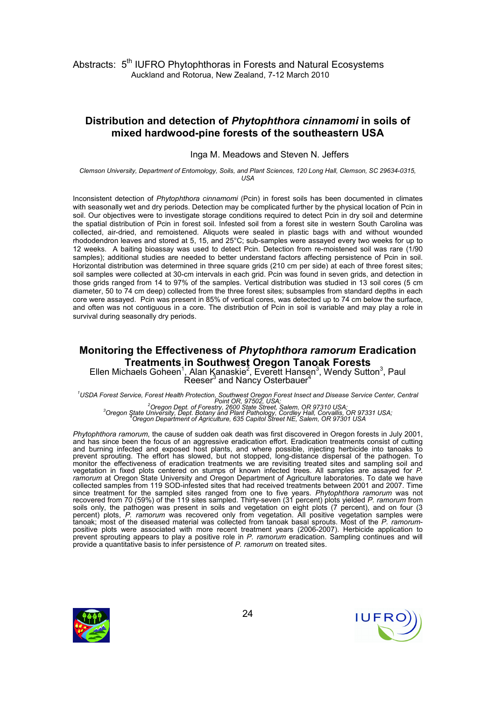#### Distribution and detection of Phytophthora cinnamomi in soils of mixed hardwood-pine forests of the southeastern USA

Inga M. Meadows and Steven N. Jeffers

Clemson University, Department of Entomology, Soils, and Plant Sciences, 120 Long Hall, Clemson, SC 29634-0315, USA

Inconsistent detection of Phytophthora cinnamomi (Pcin) in forest soils has been documented in climates with seasonally wet and dry periods. Detection may be complicated further by the physical location of Pcin in soil. Our objectives were to investigate storage conditions required to detect Pcin in dry soil and determine the spatial distribution of Pcin in forest soil. Infested soil from a forest site in western South Carolina was collected, air-dried, and remoistened. Aliquots were sealed in plastic bags with and without wounded rhododendron leaves and stored at 5, 15, and 25°C; sub-samples were assayed every two weeks for up to 12 weeks. A baiting bioassay was used to detect Pcin. Detection from re-moistened soil was rare (1/90 samples); additional studies are needed to better understand factors affecting persistence of Pcin in soil. Horizontal distribution was determined in three square grids (210 cm per side) at each of three forest sites; soil samples were collected at 30-cm intervals in each grid. Pcin was found in seven grids, and detection in those grids ranged from 14 to 97% of the samples. Vertical distribution was studied in 13 soil cores (5 cm diameter, 50 to 74 cm deep) collected from the three forest sites; subsamples from standard depths in each core were assayed. Pcin was present in 85% of vertical cores, was detected up to 74 cm below the surface, and often was not contiguous in a core. The distribution of Pcin in soil is variable and may play a role in survival during seasonally dry periods.

# Monitoring the Effectiveness of Phytophthora ramorum Eradication Treatments in Southwest Oregon Tanoak Forests Ellen Michaels Goheen<sup>1</sup>, Alan Kanaskie<sup>2</sup>, Everett Hansen<sup>3</sup>, Wendy Sutton<sup>3</sup>, Paul<br>Reeser<sup>3</sup> and Nancy Osterbauer<sup>4</sup>

<sup>1</sup>USDA Forest Service, Forest Health Protection, Southwest Oregon Forest Insect and Disease Service Center, Central :Point OR, 97502, USA;<br><sup>3</sup>Oregon State University, Dept. of Forestry, 2600 State Street, Salem, OR 97310 USA;<br>197331 Oregon State University, Dept. Botany and Plant Pathology, Cordley Hall, Corvallis, OR 97331 USA;<br>197301

Phytophthora ramorum, the cause of sudden oak death was first discovered in Oregon forests in July 2001, and has since been the focus of an aggressive eradication effort. Eradication treatments consist of cutting and burning infected and exposed host plants, and where possible, injecting herbicide into tanoaks to prevent sprouting. The effort has slowed, but not stopped, long-distance dispersal of the pathogen. To monitor the effectiveness of eradication treatments we are revisiting treated sites and sampling soil and vegetation in fixed plots centered on stumps of known infected trees. All samples are assayed for P. ramorum at Oregon State University and Oregon Department of Agriculture laboratories. To date we have collected samples from 119 SOD-infested sites that had received treatments between 2001 and 2007. Time since treatment for the sampled sites ranged from one to five years. Phytophthora ramorum was not recovered from 70 (59%) of the 119 sites sampled. Thirty-seven (31 percent) plots yielded P. ramorum from soils only, the pathogen was present in soils and vegetation on eight plots (7 percent), and on four (3 percent) plots, *P. ramorum* was recovered only from vegetation. All positive vegetation samples were tanoak; most of the diseased material was collected from tanoak basal sprouts. Most of the P. ramorumpositive plots were associated with more recent treatment years (2006-2007). Herbicide application to prevent sprouting appears to play a positive role in P. ramorum eradication. Sampling continues and will provide a quantitative basis to infer persistence of P. ramorum on treated sites.



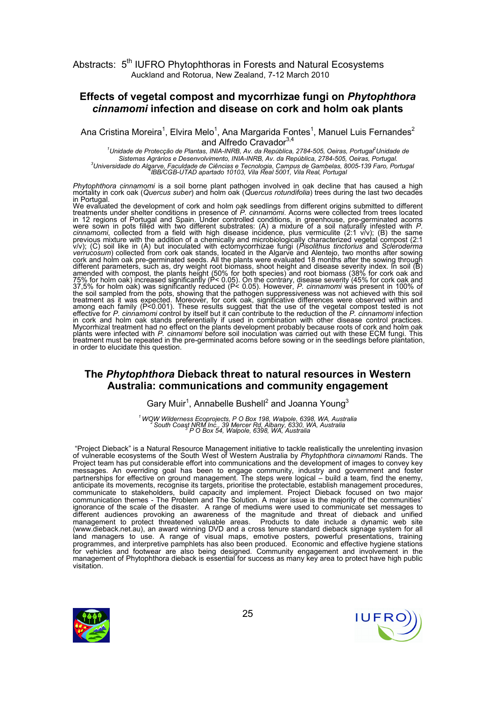#### Effects of vegetal compost and mycorrhizae fungi on Phytophthora cinnamomi infection and disease on cork and holm oak plants

Ana Cristina Moreira<sup>1</sup>, Elvira Melo<sup>1</sup>, Ana Margarida Fontes<sup>1</sup>, Manuel Luis Fernandes<sup>2</sup> and Alfredo Cravador<sup>3,4</sup>

1<br>Unidade de Protecção de Plantas, INIA-INRB, Av. da República, 2784-505, Oeiras, Portugal<sup>2</sup>Unidade de Sistemas Agrários e Desenvolvimento, INIA-INRB, Av. da República, 2784-505, Oeiras, Portugal. <sup>3</sup>Universidade do Algarve, Faculdade de Ciências e Tecnologia, Campus de Gambelas, 8005-139 Faro, Portugal<br>4BB/CGB-UTAD apartado 10103, Vila Real 5001, Vila Real, Portugal

. Phytophthora cinnamomi is a soil borne plant pathogen involved in oak decline that has caused a high mortality in cork oak (Quercus suber) and holm oak (Quercus rotundifolia) trees during the last two decades in Portugal.

We evaluated the development of cork and holm oak seedlings from different origins submitted to different<br>treatments under shelter conditions in presence of *P. cinnamomi*. Acorns were collected from trees located in 12 regions of Portugal and Spain. Under controlled conditions, in greenhouse, pre-germinated acorns were sown in pots filled with two different substrates: (A) a mixture of a soil naturally infested with P. cinnamomi, collected from a field with high disease incidence, plus vermiculite (2:1 v/v); (B) the same previous mixture with the addition of a chemically and microbiologically characterized vegetal compost (2:1<br>v/v); (C) soil like in (A) but inoculated with ectomycorrhizae fungi (*Pisolithus tinctorius* and *Scleroderma* verrucosum) collected from cork oak stands, located in the Algarve and Alentejo, two months after sowing cork and holm oak pre-germinated seeds. All the plants were evaluated 18 months after the sowing through different parameters, such as, dry weight root biomass, shoot height and disease severity index. In soil (B) amended with compost, the plants height (50% for both species) and root biomass (38% for cork oak and 75% for holm oak) increased significantly (P< 0.05). On the contrary, disease severity (45% for cork oak and<br>37,5% for holm oak) was significantly reduced (P< 0.05). However, *P. cinnamomi* was present in 100% of the soil sampled from the pots, showing that the pathogen suppressiveness was not achieved with this soil treatment as it was expected. Moreover, for cork oak, significative differences were observed within and among each family (P<0.001). These results suggest that the use of the vegetal compost tested is not effective for *P. cinnamomi* control by itself but it can contribute to the reduction of the *P. cinnamomi* infection in cork and holm oak stands preferentially if used in combination with other disease control practices. Mycorrhizal treatment had no effect on the plants development probably because roots of cork and holm oak<br>plants were infected with *P. cinnamomi* before soil inoculation was carried out with these ECM fungi. This treatment must be repeated in the pre-germinated acorns before sowing or in the seedlings before plantation, in order to elucidate this question.

### The Phytophthora Dieback threat to natural resources in Western Australia: communications and community engagement

Gary Muir<sup>1</sup>, Annabelle Bushell<sup>2</sup> and Joanna Young<sup>3</sup>

<sup>1</sup> WOW Wilderness Ecoprojects, P O Box 198, Walpole, 6398, WA, Australia<br><sup>2</sup> South Coast NRM Inc., 39 Mercer Rd, Albany, 6330, WA, Australia<br>3 P O Box 54, Walpole, 6398, WA, Australia

 "Project Dieback" is a Natural Resource Management initiative to tackle realistically the unrelenting invasion of vulnerable ecosystems of the South West of Western Australia by Phytophthora cinnamomi Rands. The Project team has put considerable effort into communications and the development of images to convey key messages. An overriding goal has been to engage community, industry and government and foster partnerships for effective on ground management. The steps were logical – build a team, find the enemy, anticipate its movements, recognise its targets, prioritise the protectable, establish management procedures, communicate to stakeholders, build capacity and implement. Project Dieback focused on two major communication themes - The Problem and The Solution. A major issue is the majority of the communities' ignorance of the scale of the disaster. A range of mediums were used to communicate set messages to different audiences provoking an awareness of the magnitude and threat of dieback and unified management to protect threatened valuable areas. Products to date include a dynamic web site (www.dieback.net.au), an award winning DVD and a cross tenure standard dieback signage system for all land managers to use. A range of visual maps, emotive posters, powerful presentations, training programmes, and interpretive pamphlets has also been produced. Economic and effective hygiene stations for vehicles and footwear are also being designed. Community engagement and involvement in the management of Phytophthora dieback is essential for success as many key area to protect have high public visitation.



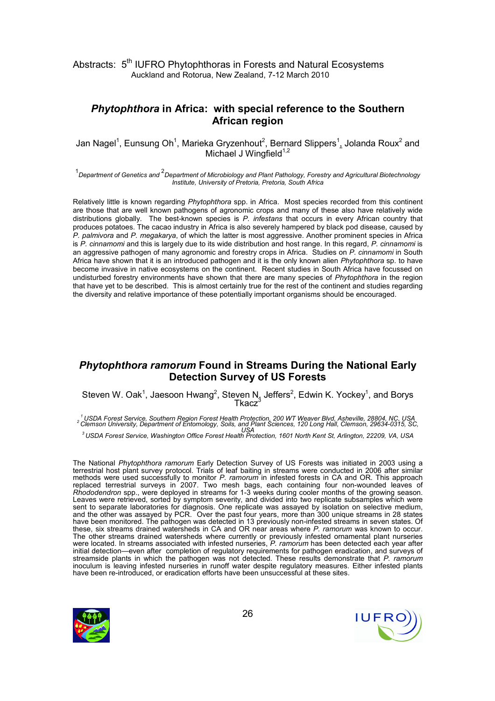## Phytophthora in Africa: with special reference to the Southern African region

Jan Nagel<sup>1</sup>, Eunsung Oh<sup>1</sup>, Marieka Gryzenhout<sup>2</sup>, Bernard Slippers<sup>1</sup>, Jolanda Roux<sup>2</sup> and Michael J Wingfield<sup>1,2</sup>

 $^{\rm 1}$ Department of Genetics and  $^{\rm 2}$ Department of Microbiology and Plant Pathology, Forestry and Agricultural Biotechnology Institute, University of Pretoria, Pretoria, South Africa

Relatively little is known regarding Phytophthora spp. in Africa. Most species recorded from this continent are those that are well known pathogens of agronomic crops and many of these also have relatively wide distributions globally. The best-known species is P. infestans that occurs in every African country that produces potatoes. The cacao industry in Africa is also severely hampered by black pod disease, caused by P. palmivora and P. megakarya, of which the latter is most aggressive. Another prominent species in Africa is  $P$ , cinnamomi and this is largely due to its wide distribution and host range. In this regard,  $P$ , cinnamomi is an aggressive pathogen of many agronomic and forestry crops in Africa. Studies on P. cinnamomi in South Africa have shown that it is an introduced pathogen and it is the only known alien *Phytophthora* sp. to have become invasive in native ecosystems on the continent. Recent studies in South Africa have focussed on undisturbed forestry environments have shown that there are many species of Phytophthora in the region that have yet to be described. This is almost certainly true for the rest of the continent and studies regarding the diversity and relative importance of these potentially important organisms should be encouraged.

#### Phytophthora ramorum Found in Streams During the National Early Detection Survey of US Forests

Steven W. Oak<sup>1</sup>, Jaesoon Hwang<sup>2</sup>, Steven N, Jeffers<sup>2</sup>, Edwin K. Yockey<sup>1</sup>, and Borys<br>Tkacz<sup>3</sup>

<sup>1</sup>USDA Forest Service, Southern Region Forest Health Protection, 200 WT Weaver Blvd, Asheville, 28804, NC, USA<br><sup>2</sup> Clemson University, Department of Entomology, Soils, and Plant Sciences, 120 Long Hall, Clemson, 29634-031

USA <sup>3</sup>USDA Forest Service, Washington Office Forest Health Protection, 1601 North Kent St, Arlington, 22209, VA, USA

The National Phytophthora ramorum Early Detection Survey of US Forests was initiated in 2003 using a terrestrial host plant survey protocol. Trials of leaf baiting in streams were conducted in 2006 after similar methods were used successfully to monitor P. ramorum in infested forests in CA and OR. This approach replaced terrestrial surveys in 2007. Two mesh bags, each containing four non-wounded leaves of Rhododendron spp., were deployed in streams for 1-3 weeks during cooler months of the growing season. Leaves were retrieved, sorted by symptom severity, and divided into two replicate subsamples which were sent to separate laboratories for diagnosis. One replicate was assayed by isolation on selective medium, and the other was assayed by PCR. Over the past four years, more than 300 unique streams in 28 states have been monitored. The pathogen was detected in 13 previously non-infested streams in seven states. Of these, six streams drained watersheds in CA and OR near areas where P. ramorum was known to occur. The other streams drained watersheds where currently or previously infested ornamental plant nurseries were located. In streams associated with infested nurseries, P. ramorum has been detected each year after initial detection—even after completion of regulatory requirements for pathogen eradication, and surveys of streamside plants in which the pathogen was not detected. These results demonstrate that P. ramorum inoculum is leaving infested nurseries in runoff water despite regulatory measures. Either infested plants have been re-introduced, or eradication efforts have been unsuccessful at these sites.



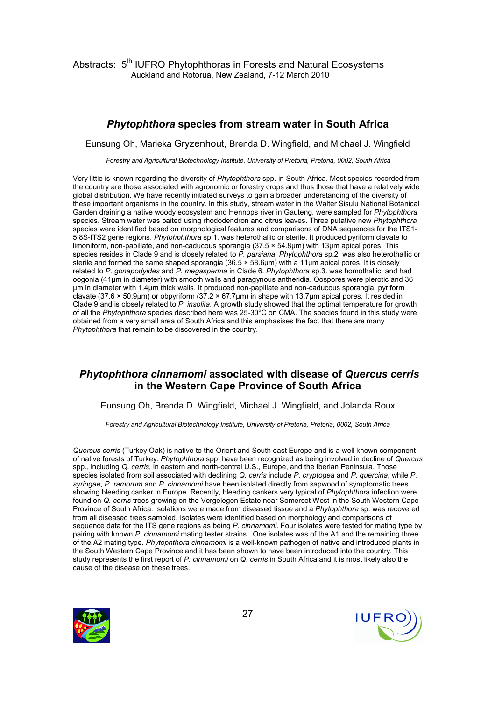## Phytophthora species from stream water in South Africa

Eunsung Oh, Marieka Gryzenhout, Brenda D. Wingfield, and Michael J. Wingfield

Forestry and Agricultural Biotechnology Institute, University of Pretoria, Pretoria, 0002, South Africa

Very little is known regarding the diversity of Phytophthora spp. in South Africa. Most species recorded from the country are those associated with agronomic or forestry crops and thus those that have a relatively wide global distribution. We have recently initiated surveys to gain a broader understanding of the diversity of these important organisms in the country. In this study, stream water in the Walter Sisulu National Botanical Garden draining a native woody ecosystem and Hennops river in Gauteng, were sampled for Phytophthora species. Stream water was baited using rhododendron and citrus leaves. Three putative new Phytophthora species were identified based on morphological features and comparisons of DNA sequences for the ITS1- 5.8S-ITS2 gene regions. Phytohphthora sp.1. was heterothallic or sterile. It produced pyriform clavate to limoniform, non-papillate, and non-caducous sporangia (37.5 × 54.8µm) with 13µm apical pores. This species resides in Clade 9 and is closely related to P. parsiana. Phytophthora sp.2. was also heterothallic or sterile and formed the same shaped sporangia (36.5 × 58.6 $\mu$ m) with a 11 $\mu$ m apical pores. It is closely related to P. gonapodyides and P. megasperma in Clade 6. Phytophthora sp.3. was homothallic, and had oogonia (41µm in diameter) with smooth walls and paragynous antheridia. Oospores were plerotic and 36 µm in diameter with 1.4µm thick walls. It produced non-papillate and non-caducous sporangia, pyriform clavate (37.6 × 50.9µm) or obpyriform (37.2 × 67.7µm) in shape with 13.7µm apical pores. It resided in Clade 9 and is closely related to P. insolita. A growth study showed that the optimal temperature for growth of all the Phytophthora species described here was 25-30°C on CMA. The species found in this study were obtained from a very small area of South Africa and this emphasises the fact that there are many Phytophthora that remain to be discovered in the country.

## Phytophthora cinnamomi associated with disease of Quercus cerris in the Western Cape Province of South Africa

Eunsung Oh, Brenda D. Wingfield, Michael J. Wingfield, and Jolanda Roux

Forestry and Agricultural Biotechnology Institute, University of Pretoria, Pretoria, 0002, South Africa

Quercus cerris (Turkey Oak) is native to the Orient and South east Europe and is a well known component of native forests of Turkey. Phytophthora spp. have been recognized as being involved in decline of Quercus spp., including Q. cerris, in eastern and north-central U.S., Europe, and the Iberian Peninsula. Those species isolated from soil associated with declining Q. cerris include P. cryptogea and P. quercina, while P. syringae, P. ramorum and P. cinnamomi have been isolated directly from sapwood of symptomatic trees showing bleeding canker in Europe. Recently, bleeding cankers very typical of Phytophthora infection were found on Q. cerris trees growing on the Vergelegen Estate near Somerset West in the South Western Cape Province of South Africa. Isolations were made from diseased tissue and a Phytophthora sp. was recovered from all diseased trees sampled. Isolates were identified based on morphology and comparisons of sequence data for the ITS gene regions as being P. cinnamomi. Four isolates were tested for mating type by pairing with known P. cinnamomi mating tester strains. One isolates was of the A1 and the remaining three of the A2 mating type. Phytophthora cinnamomi is a well-known pathogen of native and introduced plants in the South Western Cape Province and it has been shown to have been introduced into the country. This study represents the first report of P. cinnamomi on Q. cerris in South Africa and it is most likely also the cause of the disease on these trees.



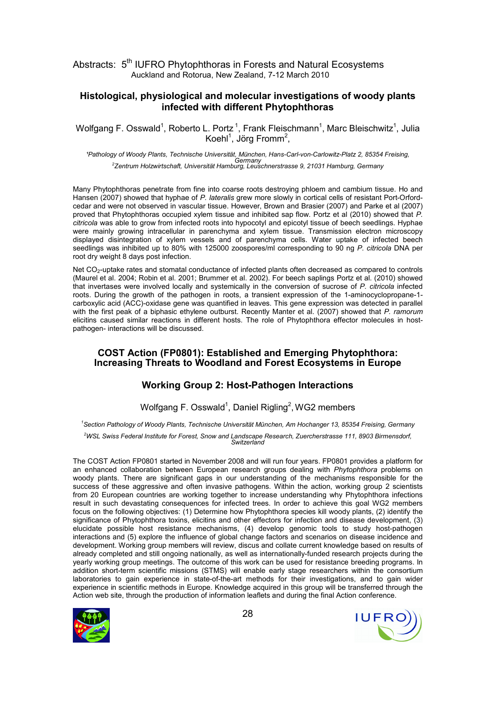#### Histological, physiological and molecular investigations of woody plants infected with different Phytophthoras

Wolfgang F. Osswald<sup>1</sup>, Roberto L. Portz<sup>1</sup>, Frank Fleischmann<sup>1</sup>, Marc Bleischwitz<sup>1</sup>, Julia Koehl<sup>1</sup>, Jörg Fromm<sup>2</sup>,

<sup>1</sup>Pathology of Woody Plants, Technische Universität, München, Hans-Carl-von-Carlowitz-Platz 2, 85354 Freising, .<br>Zentrum Holzwirtschaft, Universität Hamburg, Leuschnerstrasse 9, 21031 Hamburg, Germany?

Many Phytophthoras penetrate from fine into coarse roots destroying phloem and cambium tissue. Ho and Hansen (2007) showed that hyphae of P. lateralis grew more slowly in cortical cells of resistant Port-Orfordcedar and were not observed in vascular tissue. However, Brown and Brasier (2007) and Parke et al (2007) proved that Phytophthoras occupied xylem tissue and inhibited sap flow. Portz et al (2010) showed that P. citricola was able to grow from infected roots into hypocotyl and epicotyl tissue of beech seedlings. Hyphae were mainly growing intracellular in parenchyma and xylem tissue. Transmission electron microscopy displayed disintegration of xylem vessels and of parenchyma cells. Water uptake of infected beech seedlings was inhibited up to 80% with 125000 zoospores/ml corresponding to 90 ng P. citricola DNA per root dry weight 8 days post infection.

Net CO<sub>2</sub>-uptake rates and stomatal conductance of infected plants often decreased as compared to controls (Maurel et al. 2004; Robin et al. 2001; Brummer et al. 2002). For beech saplings Portz et al. (2010) showed that invertases were involved locally and systemically in the conversion of sucrose of P. citricola infected roots. During the growth of the pathogen in roots, a transient expression of the 1-aminocyclopropane-1 carboxylic acid (ACC)-oxidase gene was quantified in leaves. This gene expression was detected in parallel with the first peak of a biphasic ethylene outburst. Recently Manter et al. (2007) showed that P. ramorum elicitins caused similar reactions in different hosts. The role of Phytophthora effector molecules in hostpathogen- interactions will be discussed.

#### COST Action (FP0801): Established and Emerging Phytophthora: Increasing Threats to Woodland and Forest Ecosystems in Europe

#### Working Group 2: Host-Pathogen Interactions

Wolfgang F. Osswald<sup>1</sup>, Daniel Rigling<sup>2</sup>, WG2 members

<sup>1</sup>Section Pathology of Woody Plants, Technische Universität München, Am Hochanger 13, 85354 Freising, Germany <sup>2</sup>WSL Swiss Federal Institute for Forest, Snow and Landscape Research, Zuercherstrasse 111, 8903 Birmensdorf, Switzerland

The COST Action FP0801 started in November 2008 and will run four years. FP0801 provides a platform for an enhanced collaboration between European research groups dealing with Phytophthora problems on woody plants. There are significant gaps in our understanding of the mechanisms responsible for the success of these aggressive and often invasive pathogens. Within the action, working group 2 scientists from 20 European countries are working together to increase understanding why Phytophthora infections result in such devastating consequences for infected trees. In order to achieve this goal WG2 members focus on the following objectives: (1) Determine how Phytophthora species kill woody plants, (2) identify the significance of Phytophthora toxins, elicitins and other effectors for infection and disease development, (3) elucidate possible host resistance mechanisms, (4) develop genomic tools to study host-pathogen interactions and (5) explore the influence of global change factors and scenarios on disease incidence and development. Working group members will review, discus and collate current knowledge based on results of already completed and still ongoing nationally, as well as internationally-funded research projects during the yearly working group meetings. The outcome of this work can be used for resistance breeding programs. In addition short-term scientific missions (STMS) will enable early stage researchers within the consortium laboratories to gain experience in state-of-the-art methods for their investigations, and to gain wider experience in scientific methods in Europe. Knowledge acquired in this group will be transferred through the Action web site, through the production of information leaflets and during the final Action conference.



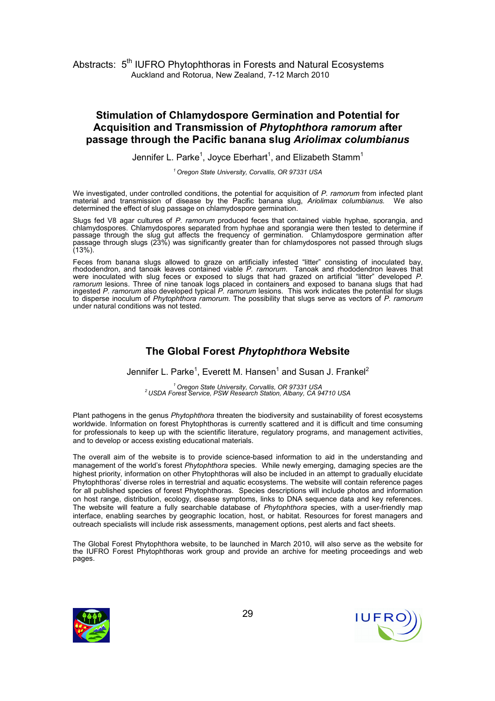## Stimulation of Chlamydospore Germination and Potential for Acquisition and Transmission of Phytophthora ramorum after passage through the Pacific banana slug Ariolimax columbianus

Jennifer L. Parke<sup>1</sup>, Joyce Eberhart<sup>1</sup>, and Elizabeth Stamm<sup>1</sup>

<sup>1</sup> Oregon State University, Corvallis, OR 97331 USA

We investigated, under controlled conditions, the potential for acquisition of P. ramorum from infected plant material and transmission of disease by the Pacific banana slug Ariolimax columbianus. We also material and transmission of disease by the Pacific banana slug, Ariolimax columbianus. We also determined the effect of slug passage on chlamydospore germination.

Slugs fed V8 agar cultures of P. ramorum produced feces that contained viable hyphae, sporangia, and chlamydospores. Chlamydospores separated from hyphae and sporangia were then tested to determine if passage through the slug gut affects the frequency of germination. Chlamydospore germination after passage through slugs (23%) was significantly greater than for chlamydospores not passed through slugs  $(13\%)$ .

Feces from banana slugs allowed to graze on artificially infested "litter" consisting of inoculated bay, rhododendron, and tanoak leaves contained viable P. ramorum. Tanoak and rhododendron leaves that were inoculated with slug feces or exposed to slugs that had grazed on artificial "litter" developed P. ramorum lesions. Three of nine tanoak logs placed in containers and exposed to banana slugs that had ingested P. ramorum also developed typical P. ramorum lesions. This work indicates the potential for slugs to disperse inoculum of Phytophthora ramorum. The possibility that slugs serve as vectors of P. ramorum under natural conditions was not tested.

## The Global Forest Phytophthora Website

Jennifer L. Parke<sup>1</sup>, Everett M. Hansen<sup>1</sup> and Susan J. Frankel<sup>2</sup>

<sup>1</sup> Oregon State University, Corvallis, OR 97331 USA<br><sup>2</sup> USDA Forest Service, PSW Research Station, Albany, CA 94710 USA

Plant pathogens in the genus Phytophthora threaten the biodiversity and sustainability of forest ecosystems worldwide. Information on forest Phytophthoras is currently scattered and it is difficult and time consuming for professionals to keep up with the scientific literature, regulatory programs, and management activities, and to develop or access existing educational materials.

The overall aim of the website is to provide science-based information to aid in the understanding and management of the world's forest Phytophthora species. While newly emerging, damaging species are the highest priority, information on other Phytophthoras will also be included in an attempt to gradually elucidate Phytophthoras' diverse roles in terrestrial and aquatic ecosystems. The website will contain reference pages for all published species of forest Phytophthoras. Species descriptions will include photos and information on host range, distribution, ecology, disease symptoms, links to DNA sequence data and key references. The website will feature a fully searchable database of Phytophthora species, with a user-friendly map interface, enabling searches by geographic location, host, or habitat. Resources for forest managers and outreach specialists will include risk assessments, management options, pest alerts and fact sheets.

The Global Forest Phytophthora website, to be launched in March 2010, will also serve as the website for the IUFRO Forest Phytophthoras work group and provide an archive for meeting proceedings and web pages.



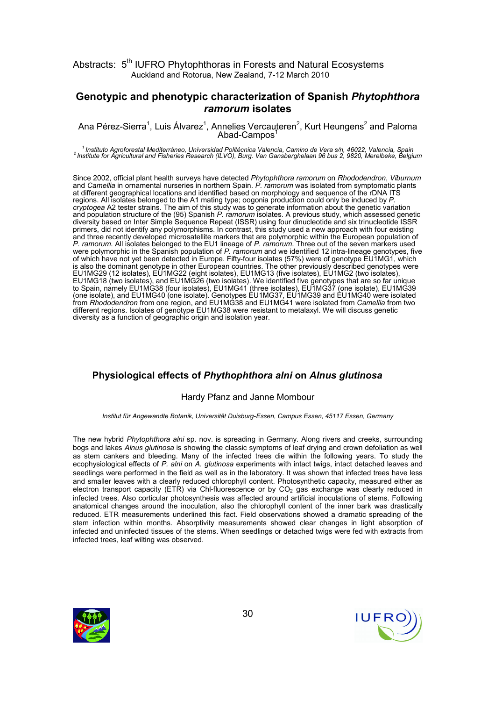#### Genotypic and phenotypic characterization of Spanish Phytophthora ramorum isolates

Ana Pérez-Sierra<sup>1</sup>, Luis Álvarez<sup>1</sup>, Annelies Vercauteren<sup>2</sup>, Kurt Heungens<sup>2</sup> and Paloma<br>Abad-Campos<sup>1</sup>

<sup>1</sup> Instituto Agroforestal Mediterráneo, Universidad Politécnica Valencia, Camino de Vera s/n, 46022, Valencia, Spain<br><sup>2</sup> Institute for Agricultural and Fisheries Research (ILVO), Burg. Van Gansberghelaan 96 bus 2, 9820, M

Since 2002, official plant health surveys have detected Phytophthora ramorum on Rhododendron, Viburnum and Camellia in ornamental nurseries in northern Spain. P. ramorum was isolated from symptomatic plants at different geographical locations and identified based on morphology and sequence of the rDNA ITS regions. All isolates belonged to the A1 mating type; oogonia production could only be induced by P. cryptogea A2 tester strains. The aim of this study was to generate information about the genetic variation and population structure of the (95) Spanish P. ramorum isolates. A previous study, which assessed genetic diversity based on Inter Simple Sequence Repeat (ISSR) using four dinucleotide and six trinucleotide ISSR primers, did not identify any polymorphisms. In contrast, this study used a new approach with four existing and three recently developed microsatellite markers that are polymorphic within the European population of P. ramorum. All isolates belonged to the EU1 lineage of P. ramorum. Three out of the seven markers used were polymorphic in the Spanish population of P. ramorum and we identified 12 intra-lineage genotypes, five of which have not yet been detected in Europe. Fifty-four isolates (57%) were of genotype EU1MG1, which is also the dominant genotype in other European countries. The other previously described genotypes were EU1MG29 (12 isolates), EU1MG22 (eight isolates), EU1MG13 (five isolates), EU1MG2 (two isolates), EU1MG18 (two isolates), and EU1MG26 (two isolates). We identified five genotypes that are so far unique to Spain, namely EU1MG38 (four isolates), EU1MG41 (three isolates), EU1MG37 (one isolate), EU1MG39 (one isolate), and EU1MG40 (one isolate). Genotypes EU1MG37, EU1MG39 and EU1MG40 were isolated from Rhododendron from one region, and EU1MG38 and EU1MG41 were isolated from Camellia from two different regions. Isolates of genotype EU1MG38 were resistant to metalaxyl. We will discuss genetic diversity as a function of geographic origin and isolation year.

## Physiological effects of Phythophthora alni on Alnus glutinosa

#### Hardy Pfanz and Janne Mombour

Institut für Angewandte Botanik, Universität Duisburg-Essen, Campus Essen, 45117 Essen, Germany

The new hybrid Phytophthora alni sp. nov. is spreading in Germany. Along rivers and creeks, surrounding bogs and lakes Alnus glutinosa is showing the classic symptoms of leaf drying and crown defoliation as well as stem cankers and bleeding. Many of the infected trees die within the following years. To study the ecophysiological effects of P. alni on A. glutinosa experiments with intact twigs, intact detached leaves and seedlings were performed in the field as well as in the laboratory. It was shown that infected trees have less and smaller leaves with a clearly reduced chlorophyll content. Photosynthetic capacity, measured either as electron transport capacity (ETR) via Chl-fluorescence or by CO<sub>2</sub> gas exchange was clearly reduced in infected trees. Also corticular photosynthesis was affected around artificial inoculations of stems. Following anatomical changes around the inoculation, also the chlorophyll content of the inner bark was drastically reduced. ETR measurements underlined this fact. Field observations showed a dramatic spreading of the stem infection within months. Absorptivity measurements showed clear changes in light absorption of infected and uninfected tissues of the stems. When seedlings or detached twigs were fed with extracts from infected trees, leaf wilting was observed.



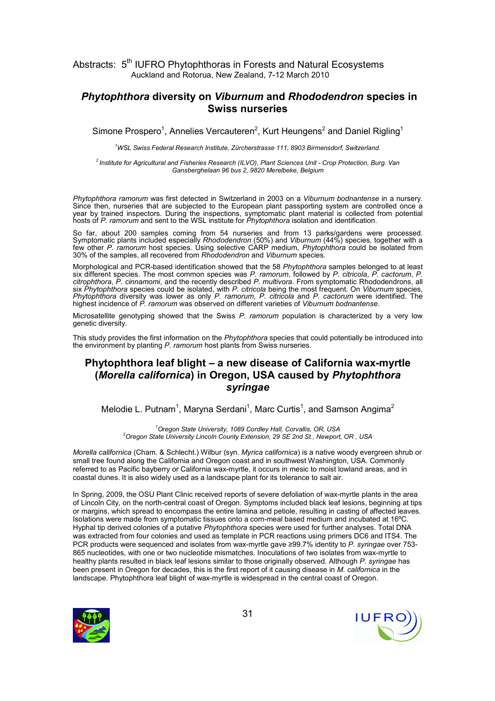#### Phytophthora diversity on Viburnum and Rhododendron species in Swiss nurseries

Simone Prospero<sup>1</sup>, Annelies Vercauteren<sup>2</sup>, Kurt Heungens<sup>2</sup> and Daniel Rigling<sup>1</sup>

<sup>1</sup>WSL Swiss Federal Research Institute, Zürcherstrasse 111, 8903 Birmensdorf, Switzerland.

 $^{2}$  Institute for Agricultural and Fisheries Research (ILVO), Plant Sciences Unit - Crop Protection, Burg. Van Gansberghelaan 96 bus 2, 9820 Merelbeke, Belgium

Phytophthora ramorum was first detected in Switzerland in 2003 on a Viburnum bodnantense in a nursery. Since then, nurseries that are subjected to the European plant passporting system are controlled once a year by trained inspectors. During the inspections, symptomatic plant material is collected from potential hosts of P. ramorum and sent to the WSL institute for Phytophthora isolation and identification.

So far, about 200 samples coming from 54 nurseries and from 13 parks/gardens were processed. Symptomatic plants included especially Rhododendron (50%) and Viburnum (44%) species, together with a few other P. ramorum host species. Using selective CARP medium, Phytophthora could be isolated from 30% of the samples, all recovered from Rhododendron and Viburnum species.

Morphological and PCR-based identification showed that the 58 Phytophthora samples belonged to at least six different species. The most common species was P. ramorum, followed by P. citricola, P. cactorum, P. citrophthora, P. cinnamomi, and the recently described P. multivora. From symptomatic Rhododendrons, all six Phytophthora species could be isolated, with P. citricola being the most frequent. On Viburnum species, Phytophthora diversity was lower as only P. ramorum, P. citricola and P. cactorum were identified. The highest incidence of P. ramorum was observed on different varieties of Viburnum bodnantense.

Microsatellite genotyping showed that the Swiss P. ramorum population is characterized by a very low genetic diversity.

This study provides the first information on the Phytophthora species that could potentially be introduced into the environment by planting P. ramorum host plants from Swiss nurseries.

## Phytophthora leaf blight – a new disease of California wax-myrtle (Morella californica) in Oregon, USA caused by Phytophthora syringae

Melodie L. Putnam<sup>1</sup>, Maryna Serdani<sup>1</sup>, Marc Curtis<sup>1</sup>, and Samson Angima<sup>2</sup>

<sup>1</sup> Oregon State University, 1089 Cordley Hall, Corvallis, OR, USA <sup>2</sup> Oregon State University Lincoln County Extension, 29 SE 2nd St., Newport, OR, USA

Morella californica (Cham. & Schlecht.) Wilbur (syn. Myrica californica) is a native woody evergreen shrub or small tree found along the California and Oregon coast and in southwest Washington, USA. Commonly referred to as Pacific bayberry or California wax-myrtle, it occurs in mesic to moist lowland areas, and in coastal dunes. It is also widely used as a landscape plant for its tolerance to salt air.

In Spring, 2009, the OSU Plant Clinic received reports of severe defoliation of wax-myrtle plants in the area of Lincoln City, on the north-central coast of Oregon. Symptoms included black leaf lesions, beginning at tips or margins, which spread to encompass the entire lamina and petiole, resulting in casting of affected leaves. Isolations were made from symptomatic tissues onto a corn-meal based medium and incubated at 16ºC. Hyphal tip derived colonies of a putative Phytophthora species were used for further analyses. Total DNA was extracted from four colonies and used as template in PCR reactions using primers DC6 and ITS4. The PCR products were sequenced and isolates from wax-myrtle gave ≥99.7% identity to P. syringae over 753-865 nucleotides, with one or two nucleotide mismatches. Inoculations of two isolates from wax-myrtle to healthy plants resulted in black leaf lesions similar to those originally observed. Although P. syringae has been present in Oregon for decades, this is the first report of it causing disease in M. californica in the landscape. Phytophthora leaf blight of wax-myrtle is widespread in the central coast of Oregon.



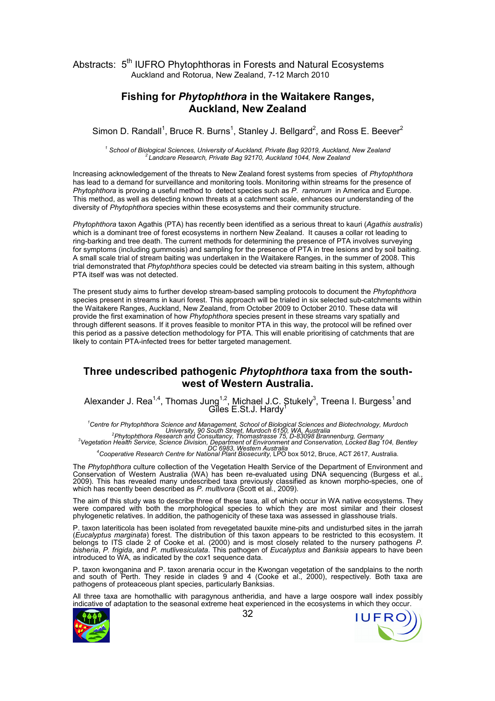#### Fishing for Phytophthora in the Waitakere Ranges, Auckland, New Zealand

Simon D. Randall<sup>1</sup>, Bruce R. Burns<sup>1</sup>, Stanley J. Bellgard<sup>2</sup>, and Ross E. Beever<sup>2</sup>

<sup>1</sup> School of Biological Sciences, University of Auckland, Private Bag 92019, Auckland, New Zealand <sup>2</sup>Landcare Research, Private Bag 92170, Auckland 1044, New Zealand

Increasing acknowledgement of the threats to New Zealand forest systems from species of Phytophthora has lead to a demand for surveillance and monitoring tools. Monitoring within streams for the presence of Phytophthora is proving a useful method to detect species such as P. ramorum in America and Europe. This method, as well as detecting known threats at a catchment scale, enhances our understanding of the diversity of Phytophthora species within these ecosystems and their community structure.

Phytophthora taxon Agathis (PTA) has recently been identified as a serious threat to kauri (Agathis australis) which is a dominant tree of forest ecosystems in northern New Zealand. It causes a collar rot leading to ring-barking and tree death. The current methods for determining the presence of PTA involves surveying for symptoms (including gummosis) and sampling for the presence of PTA in tree lesions and by soil baiting. A small scale trial of stream baiting was undertaken in the Waitakere Ranges, in the summer of 2008. This trial demonstrated that Phytophthora species could be detected via stream baiting in this system, although PTA itself was was not detected.

The present study aims to further develop stream-based sampling protocols to document the Phytophthora species present in streams in kauri forest. This approach will be trialed in six selected sub-catchments within the Waitakere Ranges, Auckland, New Zealand, from October 2009 to October 2010. These data will provide the first examination of how Phytophthora species present in these streams vary spatially and through different seasons. If it proves feasible to monitor PTA in this way, the protocol will be refined over this period as a passive detection methodology for PTA. This will enable prioritising of catchments that are likely to contain PTA-infected trees for better targeted management.

#### Three undescribed pathogenic Phytophthora taxa from the southwest of Western Australia.

Alexander J. Rea<sup>1,4</sup>, Thomas Jung<sup>1,2</sup>, Michael J.C. Stukely<sup>3</sup>, Treena I. Burgess<sup>1</sup> and Giles E.St.J. Hardy<sup>T</sup>

<sup>1</sup>Centre for Phytophthora Science and Management, School of Biological Sciences and Biotechnology, Murdoch<br>University, 90 South Street, Murdoch 6150, WA, Australia<br><sup>3</sup>Vegetation Health Service, Science Division, Departmen

DC 6983, Western Australia <sup>4</sup>Cooperative Research Centre for National Plant Biosecurity, LPO box 5012, Bruce, ACT 2617, Australia.

The Phytophthora culture collection of the Vegetation Health Service of the Department of Environment and Conservation of Western Australia (WA) has been re-evaluated using DNA sequencing (Burgess et al., 2009). This has revealed many undescribed taxa previously classified as known morpho-species, one of which has recently been described as P. multivora (Scott et al., 2009).

The aim of this study was to describe three of these taxa, all of which occur in WA native ecosystems. They were compared with both the morphological species to which they are most similar and their closest phylogenetic relatives. In addition, the pathogenicity of these taxa was assessed in glasshouse trials.

P. taxon lateriticola has been isolated from revegetated bauxite mine-pits and undisturbed sites in the jarrah (Eucalyptus marginata) forest. The distribution of this taxon appears to be restricted to this ecosystem. It belongs to ITS clade 2 of Cooke et al. (2000) and is most closely related to the nursery pathogens P. bisheria, P. frigida, and P. mutlivesiculata. This pathogen of Eucalyptus and Banksia appears to have been introduced to WA, as indicated by the cox1 sequence data.

P. taxon kwonganina and P. taxon arenaria occur in the Kwongan vegetation of the sandplains to the north and south of Perth. They reside in clades 9 and 4 (Cooke et al., 2000), respectively. Both taxa are pathogens of proteaceous plant species, particularly Banksias.

All three taxa are homothallic with paragynous antheridia, and have a large oospore wall index possibly indicative of adaptation to the seasonal extreme heat experienced in the ecosystems in which they occur.



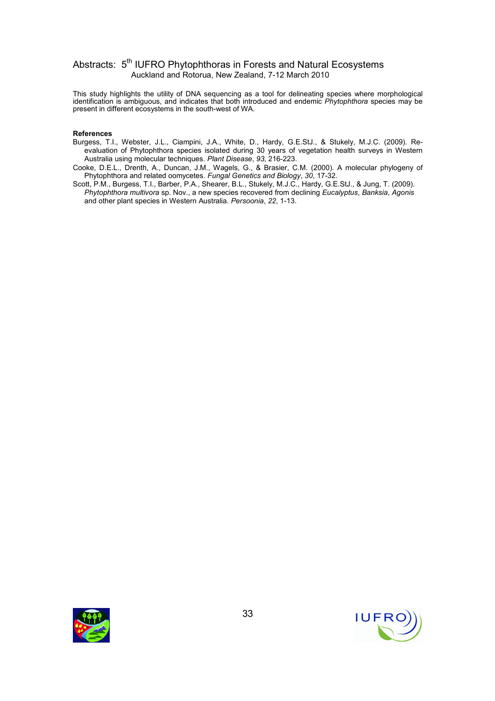This study highlights the utility of DNA sequencing as a tool for delineating species where morphological identification is ambiguous, and indicates that both introduced and endemic *Phytophthora* species may be present in different ecosystems in the south-west of WA.

#### References

- Burgess, T.I., Webster, J.L., Ciampini, J.A., White, D., Hardy, G.E.StJ., & Stukely, M.J.C. (2009). Reevaluation of Phytophthora species isolated during 30 years of vegetation health surveys in Western Australia using molecular techniques. Plant Disease, 93, 216-223.
- Cooke, D.E.L., Drenth, A., Duncan, J.M., Wagels, G., & Brasier, C.M. (2000). A molecular phylogeny of Phytophthora and related oomycetes. Fungal Genetics and Biology, 30, 17-32.
- Scott, P.M., Burgess, T.I., Barber, P.A., Shearer, B.L., Stukely, M.J.C., Hardy, G.E.StJ., & Jung, T. (2009). Phytophthora multivora sp. Nov., a new species recovered from declining Eucalyptus, Banksia, Agonis and other plant species in Western Australia. Persoonia, 22, 1-13.



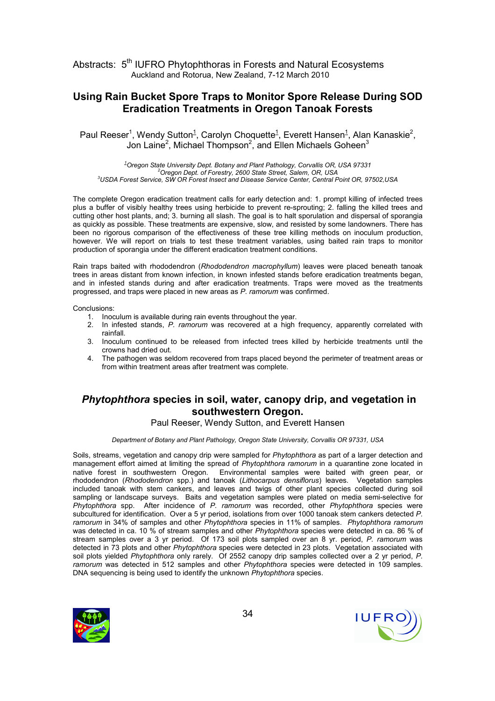### Using Rain Bucket Spore Traps to Monitor Spore Release During SOD Eradication Treatments in Oregon Tanoak Forests

Paul Reeser<sup>1</sup>, Wendy Sutton<sup>1</sup>, Carolyn Choquette<sup>1</sup>, Everett Hansen<sup>1</sup>, Alan Kanaskie<sup>2</sup>, Jon Laine<sup>2</sup>, Michael Thompson<sup>2</sup>, and Ellen Michaels Goheen<sup>3</sup>

 $1$ Oregon State University Dept. Botany and Plant Pathology, Corvallis OR, USA 97331 <sup>2</sup>Oregon Dept. of Forestry, 2600 State Street, Salem, OR, USA <sup>3</sup>USDA Forest Service, SW OR Forest Insect and Disease Service Center, Central Point OR, 97502,USA

The complete Oregon eradication treatment calls for early detection and: 1. prompt killing of infected trees plus a buffer of visibly healthy trees using herbicide to prevent re-sprouting; 2. falling the killed trees and cutting other host plants, and; 3. burning all slash. The goal is to halt sporulation and dispersal of sporangia as quickly as possible. These treatments are expensive, slow, and resisted by some landowners. There has been no rigorous comparison of the effectiveness of these tree killing methods on inoculum production, however. We will report on trials to test these treatment variables, using baited rain traps to monitor production of sporangia under the different eradication treatment conditions.

Rain traps baited with rhododendron (Rhododendron macrophyllum) leaves were placed beneath tanoak trees in areas distant from known infection, in known infested stands before eradication treatments began, and in infested stands during and after eradication treatments. Traps were moved as the treatments progressed, and traps were placed in new areas as P. ramorum was confirmed.

Conclusions:

- 1. Inoculum is available during rain events throughout the year.
- 2. In infested stands, P. ramorum was recovered at a high frequency, apparently correlated with rainfall.
- 3. Inoculum continued to be released from infected trees killed by herbicide treatments until the crowns had dried out.
- 4. The pathogen was seldom recovered from traps placed beyond the perimeter of treatment areas or from within treatment areas after treatment was complete.

## Phytophthora species in soil, water, canopy drip, and vegetation in southwestern Oregon.

Paul Reeser, Wendy Sutton, and Everett Hansen

Department of Botany and Plant Pathology, Oregon State University, Corvallis OR 97331, USA

Soils, streams, vegetation and canopy drip were sampled for Phytophthora as part of a larger detection and management effort aimed at limiting the spread of Phytophthora ramorum in a quarantine zone located in native forest in southwestern Oregon. Environmental samples were baited with green pear, or rhododendron (Rhododendron spp.) and tanoak (Lithocarpus densiflorus) leaves. Vegetation samples included tanoak with stem cankers, and leaves and twigs of other plant species collected during soil sampling or landscape surveys. Baits and vegetation samples were plated on media semi-selective for Phytophthora spp. After incidence of P. ramorum was recorded, other Phytophthora species were subcultured for identification. Over a 5 yr period, isolations from over 1000 tanoak stem cankers detected P. ramorum in 34% of samples and other Phytophthora species in 11% of samples. Phytophthora ramorum was detected in ca. 10 % of stream samples and other Phytophthora species were detected in ca. 86 % of stream samples over a 3 yr period. Of 173 soil plots sampled over an 8 yr. period, P. ramorum was detected in 73 plots and other Phytophthora species were detected in 23 plots. Vegetation associated with soil plots yielded Phytophthora only rarely. Of 2552 canopy drip samples collected over a 2 yr period, P. ramorum was detected in 512 samples and other Phytophthora species were detected in 109 samples. DNA sequencing is being used to identify the unknown Phytophthora species.



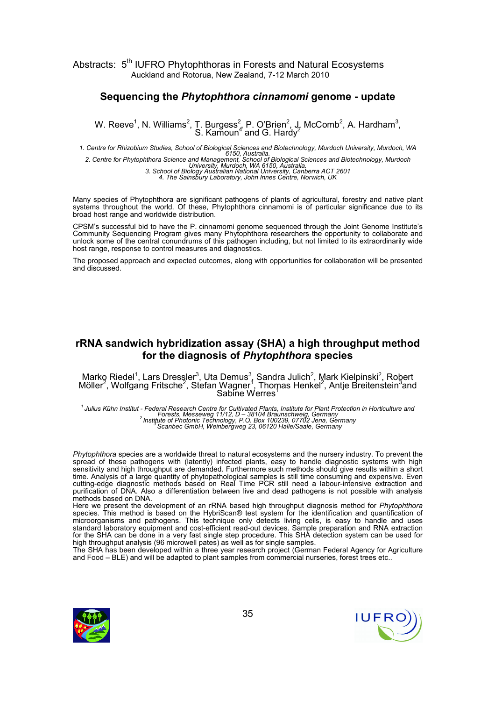#### Sequencing the Phytophthora cinnamomi genome - update

W. Reeve<sup>1</sup>, N. Williams<sup>2</sup>, T. Burgess<sup>2</sup>, P. O'Brien<sup>2</sup>, J. McComb<sup>2</sup>, A. Hardham<sup>3</sup>, S. Kamoun<sup>4</sup> and G. Hardy<sup>2</sup>

1. Centre for Rhizobium Studies, School of Biological Sciences and Biotechnology, Murdoch University, Murdoch, WA<br>6150, Australia.<br>2. Centre for Phytophthora Science and Management, School of Biological Sciences and Biotec

Many species of Phytophthora are significant pathogens of plants of agricultural, forestry and native plant systems throughout the world. Of these, Phytophthora cinnamomi is of particular significance due to its broad host range and worldwide distribution.

CPSM's successful bid to have the P. cinnamomi genome sequenced through the Joint Genome Institute's Community Sequencing Program gives many Phytophthora researchers the opportunity to collaborate and unlock some of the central conundrums of this pathogen including, but not limited to its extraordinarily wide host range, response to control measures and diagnostics.

The proposed approach and expected outcomes, along with opportunities for collaboration will be presented and discussed.

# rRNA sandwich hybridization assay (SHA) a high throughput method for the diagnosis of Phytophthora species

Marko Riedel<sup>1</sup>, Lars Dressler<sup>3</sup>, Uta Demus<sup>3</sup>, Sandra Julich<sup>2</sup>, Mark Kielpinski<sup>2</sup>, Robert<br>Möller<sup>2</sup>, Wolfgang Fritsche<sup>2</sup>, Stefan Wagner<sup>1</sup>, Thomas Henkel<sup>2</sup>, Antje Breitenstein<sup>3</sup>and Sabine Werres<sup>1</sup>

<sup>1</sup> Julius Kühn Institut - Federal Research Centre for Cultivated Plants, Institute for Plant Protection in Horticulture and Forests, Messeweg 11/12, D – 38104 Braunschweig, Germany<br>Forests, Messeweg 11/12, D – 38104 Braunschweig, Germany<br><sup>2</sup> Institute of Photonic Technology, P.O. Box 100239, 07702 Jena, Germany<br>Scanbec GmbH, Weinbergweg 23, 061

Phytophthora species are a worldwide threat to natural ecosystems and the nursery industry. To prevent the spread of these pathogens with (latently) infected plants, easy to handle diagnostic systems with high sensitivity and high throughput are demanded. Furthermore such methods should give results within a short time. Analysis of a large quantity of phytopathological samples is still time consuming and expensive. Even cutting-edge diagnostic methods based on Real Time PCR still need a labour-intensive extraction and purification of DNA. Also a differentiation between live and dead pathogens is not possible with analysis methods based on DNA.

Here we present the development of an rRNA based high throughput diagnosis method for Phytophthora species. This method is based on the HybriScan® test system for the identification and quantification of microorganisms and pathogens. This technique only detects living cells, is easy to handle and uses standard laboratory equipment and cost-efficient read-out devices. Sample preparation and RNA extraction for the SHA can be done in a very fast single step procedure. This SHA detection system can be used for high throughput analysis (96 microwell pates) as well as for single samples.

The SHA has been developed within a three year research project (German Federal Agency for Agriculture and Food – BLE) and will be adapted to plant samples from commercial nurseries, forest trees etc..

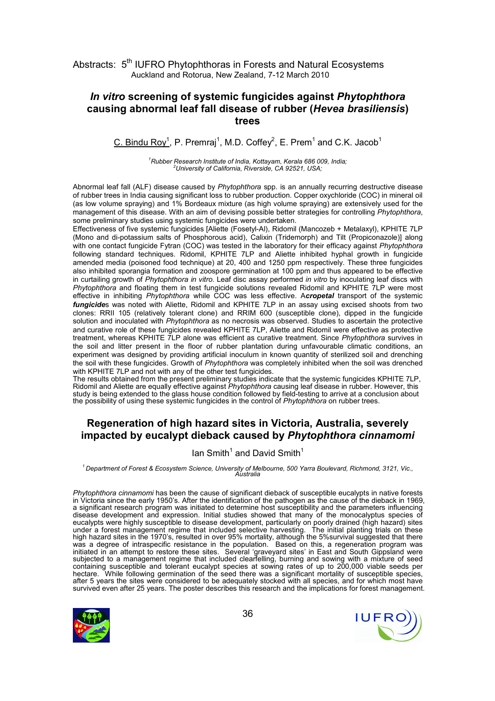# In vitro screening of systemic fungicides against Phytophthora causing abnormal leaf fall disease of rubber (Hevea brasiliensis) trees

C. Bindu Roy<sup>1</sup>, P. Premraj<sup>1</sup>, M.D. Coffey<sup>2</sup>, E. Prem<sup>1</sup> and C.K. Jacob<sup>1</sup>

 $1$ Rubber Research Institute of India, Kottayam, Kerala 686 009, India; <sup>2</sup>University of California, Riverside, CA 92521, USA;

Abnormal leaf fall (ALF) disease caused by Phytophthora spp. is an annually recurring destructive disease of rubber trees in India causing significant loss to rubber production. Copper oxychloride (COC) in mineral oil (as low volume spraying) and 1% Bordeaux mixture (as high volume spraying) are extensively used for the management of this disease. With an aim of devising possible better strategies for controlling Phytophthora, some preliminary studies using systemic fungicides were undertaken.

Effectiveness of five systemic fungicides [Aliette (Fosetyl-Al), Ridomil (Mancozeb + Metalaxyl), KPHITE 7LP (Mono and di-potassium salts of Phosphorous acid), Calixin (Tridemorph) and Tilt (Propiconazole)] along with one contact fungicide Fytran (COC) was tested in the laboratory for their efficacy against Phytophthora following standard techniques. Ridomil, KPHITE 7LP and Aliette inhibited hyphal growth in fungicide amended media (poisoned food technique) at 20, 400 and 1250 ppm respectively. These three fungicides also inhibited sporangia formation and zoospore germination at 100 ppm and thus appeared to be effective in curtailing growth of Phytophthora in vitro. Leaf disc assay performed in vitro by inoculating leaf discs with Phytophthora and floating them in test fungicide solutions revealed Ridomil and KPHITE 7LP were most effective in inhibiting Phytophthora while COC was less effective. Acropetal transport of the systemic fungicides was noted with Aliette, Ridomil and KPHITE 7LP in an assay using excised shoots from two clones: RRII 105 (relatively tolerant clone) and RRIM 600 (susceptible clone), dipped in the fungicide solution and inoculated with Phytophthora as no necrosis was observed. Studies to ascertain the protective and curative role of these fungicides revealed KPHITE 7LP, Aliette and Ridomil were effective as protective treatment, whereas KPHITE 7LP alone was efficient as curative treatment. Since Phytophthora survives in the soil and litter present in the floor of rubber plantation during unfavourable climatic conditions, an experiment was designed by providing artificial inoculum in known quantity of sterilized soil and drenching the soil with these fungicides. Growth of Phytophthora was completely inhibited when the soil was drenched with KPHITE 7LP and not with any of the other test fungicides.

The results obtained from the present preliminary studies indicate that the systemic fungicides KPHITE 7LP, Ridomil and Aliette are equally effective against *Phytophthora* causing leaf disease in rubber. However, this study is being extended to the glass house condition followed by field-testing to arrive at a conclusion about the possibility of using these systemic fungicides in the control of Phytophthora on rubber trees.

# Regeneration of high hazard sites in Victoria, Australia, severely impacted by eucalypt dieback caused by Phytophthora cinnamomi

#### Ian Smith<sup>1</sup> and David Smith<sup>1</sup>

 $^1$ Department of Forest & Ecosystem Science, University of Melbourne, 500 Yarra Boulevard, Richmond, 3121, Vic.,<br>Australia

Phytophthora cinnamomi has been the cause of significant dieback of susceptible eucalypts in native forests in Victoria since the early 1950's. After the identification of the pathogen as the cause of the dieback in 1969, a significant research program was initiated to determine host susceptibility and the parameters influencing disease development and expression. Initial studies showed that many of the monocalyptus species of eucalypts were highly susceptible to disease development, particularly on poorly drained (high hazard) sites under a forest management regime that included selective harvesting. The initial planting trials on these high hazard sites in the 1970's, resulted in over 95% mortality, although the 5%survival suggested that there was a degree of intraspecific resistance in the population. Based on this, a regeneration program was initiated in an attempt to restore these sites. Several 'graveyard sites' in East and South Gippsland were subjected to a management regime that included clearfelling, burning and sowing with a mixture of seed containing susceptible and tolerant eucalypt species at sowing rates of up to 200,000 viable seeds per hectare. While following germination of the seed there was a significant mortality of susceptible species, after 5 years the sites were considered to be adequately stocked with all species, and for which most have survived even after 25 years. The poster describes this research and the implications for forest management.



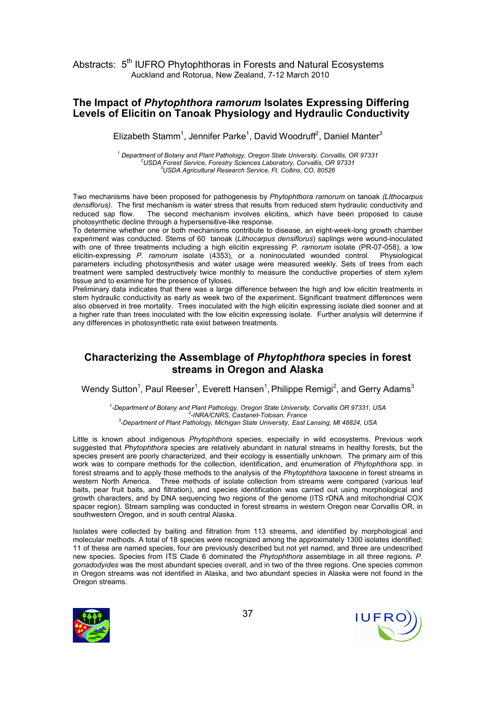#### The Impact of Phytophthora ramorum Isolates Expressing Differing Levels of Elicitin on Tanoak Physiology and Hydraulic Conductivity

Elizabeth Stamm<sup>1</sup>, Jennifer Parke<sup>1</sup>, David Woodruff<sup>2</sup>, Daniel Manter<sup>3</sup>

<sup>1</sup> Department of Botany and Plant Pathology, Oregon State University, Corvallis, OR 97331  $^{2}$ USDA Forest Service, Forestry Sciences Laboratory, Corvallis, OR 97331 <sup>3</sup>USDA Agricultural Research Service, Ft. Collins, CO, 80526

Two mechanisms have been proposed for pathogenesis by Phytophthora ramorum on tanoak (LIthocarpus densiflorus). The first mechanism is water stress that results from reduced stem hydraulic conductivity and reduced sap flow. The second mechanism involves elicitins, which have been proposed to cause photosynthetic decline through a hypersensitive-like response.

To determine whether one or both mechanisms contribute to disease, an eight-week-long growth chamber experiment was conducted. Stems of 60 tanoak (Lithocarpus densiflorus) saplings were wound-inoculated with one of three treatments including a high elicitin expressing P. ramorum isolate (PR-07-058), a low elicitin-expressing P. ramorum isolate (4353), or a noninoculated wounded control. Physiological parameters including photosynthesis and water usage were measured weekly. Sets of trees from each treatment were sampled destructively twice monthly to measure the conductive properties of stem xylem tissue and to examine for the presence of tyloses.

Preliminary data indicates that there was a large difference between the high and low elicitin treatments in stem hydraulic conductivity as early as week two of the experiment. Significant treatment differences were also observed in tree mortality. Trees inoculated with the high elicitin expressing isolate died sooner and at a higher rate than trees inoculated with the low elicitin expressing isolate. Further analysis will determine if any differences in photosynthetic rate exist between treatments.

# Characterizing the Assemblage of Phytophthora species in forest streams in Oregon and Alaska

Wendy Sutton<sup>1</sup>, Paul Reeser<sup>1</sup>, Everett Hansen<sup>1</sup>, Philippe Remigi<sup>2</sup>, and Gerry Adams<sup>3</sup>

1 -Department of Botany and Plant Pathology, Oregon State University, Corvallis OR 97331, USA 2 -INRA/CNRS, Castanet-Tolosan, France <sup>3</sup>-Department of Plant Pathology, Michigan State University, East Lansing, MI 48824, USA

Little is known about indigenous Phytophthora species, especially in wild ecosystems. Previous work suggested that Phytophthora species are relatively abundant in natural streams in healthy forests, but the species present are poorly characterized, and their ecology is essentially unknown. The primary aim of this work was to compare methods for the collection, identification, and enumeration of Phytophthora spp. in forest streams and to apply those methods to the analysis of the Phytophthora taxocene in forest streams in western North America. Three methods of isolate collection from streams were compared (various leaf baits, pear fruit baits, and filtration), and species identification was carried out using morphological and growth characters, and by DNA sequencing two regions of the genome (ITS rDNA and mitochondrial COX spacer region). Stream sampling was conducted in forest streams in western Oregon near Corvallis OR, in southwestern Oregon, and in south central Alaska.

Isolates were collected by baiting and filtration from 113 streams, and identified by morphological and molecular methods. A total of 18 species were recognized among the approximately 1300 isolates identified; 11 of these are named species, four are previously described but not yet named, and three are undescribed new species. Species from ITS Clade 6 dominated the *Phytophthora* assemblage in all three regions. P. gonadodyides was the most abundant species overall, and in two of the three regions. One species common in Oregon streams was not identified in Alaska, and two abundant species in Alaska were not found in the Oregon streams.



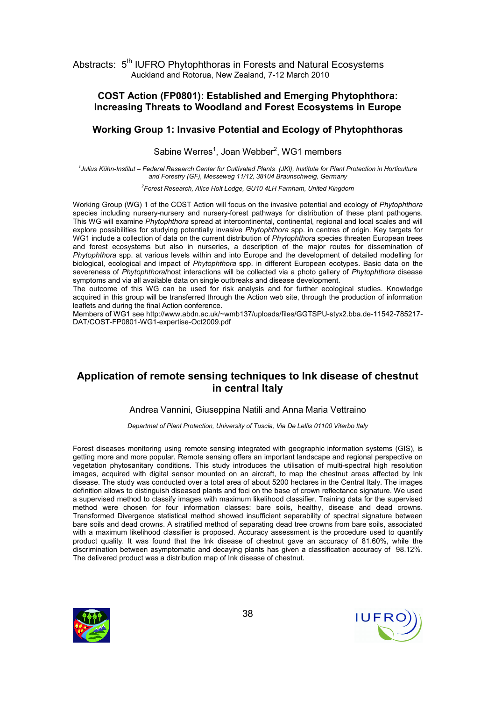#### COST Action (FP0801): Established and Emerging Phytophthora: Increasing Threats to Woodland and Forest Ecosystems in Europe

#### Working Group 1: Invasive Potential and Ecology of Phytophthoras

Sabine Werres<sup>1</sup>, Joan Webber<sup>2</sup>, WG1 members

<sup>1</sup>Julius Kühn-Institut – Federal Research Center for Cultivated Plants (JKI), Institute for Plant Protection in Horticulture and Forestry (GF), Messeweg 11/12, 38104 Braunschweig, Germany

<sup>2</sup>Forest Research, Alice Holt Lodge, GU10 4LH Farnham, United Kingdom

Working Group (WG) 1 of the COST Action will focus on the invasive potential and ecology of Phytophthora species including nursery-nursery and nursery-forest pathways for distribution of these plant pathogens. This WG will examine Phytophthora spread at intercontinental, continental, regional and local scales and will explore possibilities for studying potentially invasive Phytophthora spp. in centres of origin. Key targets for WG1 include a collection of data on the current distribution of Phytophthora species threaten European trees and forest ecosystems but also in nurseries, a description of the major routes for dissemination of Phytophthora spp. at various levels within and into Europe and the development of detailed modelling for biological, ecological and impact of Phytophthora spp. in different European ecotypes. Basic data on the severeness of Phytophthora/host interactions will be collected via a photo gallery of Phytophthora disease symptoms and via all available data on single outbreaks and disease development.

The outcome of this WG can be used for risk analysis and for further ecological studies. Knowledge acquired in this group will be transferred through the Action web site, through the production of information leaflets and during the final Action conference.

Members of WG1 see http://www.abdn.ac.uk/~wmb137/uploads/files/GGTSPU-styx2.bba.de-11542-785217- DAT/COST-FP0801-WG1-expertise-Oct2009.pdf

# Application of remote sensing techniques to Ink disease of chestnut in central Italy

#### Andrea Vannini, Giuseppina Natili and Anna Maria Vettraino

Departmet of Plant Protection, University of Tuscia, Via De Lellis 01100 Viterbo Italy

Forest diseases monitoring using remote sensing integrated with geographic information systems (GIS), is getting more and more popular. Remote sensing offers an important landscape and regional perspective on vegetation phytosanitary conditions. This study introduces the utilisation of multi-spectral high resolution images, acquired with digital sensor mounted on an aircraft, to map the chestnut areas affected by Ink disease. The study was conducted over a total area of about 5200 hectares in the Central Italy. The images definition allows to distinguish diseased plants and foci on the base of crown reflectance signature. We used a supervised method to classify images with maximum likelihood classifier. Training data for the supervised method were chosen for four information classes: bare soils, healthy, disease and dead crowns. Transformed Divergence statistical method showed insufficient separability of spectral signature between bare soils and dead crowns. A stratified method of separating dead tree crowns from bare soils, associated with a maximum likelihood classifier is proposed. Accuracy assessment is the procedure used to quantify product quality. It was found that the Ink disease of chestnut gave an accuracy of 81.60%, while the discrimination between asymptomatic and decaying plants has given a classification accuracy of 98.12%. The delivered product was a distribution map of Ink disease of chestnut.



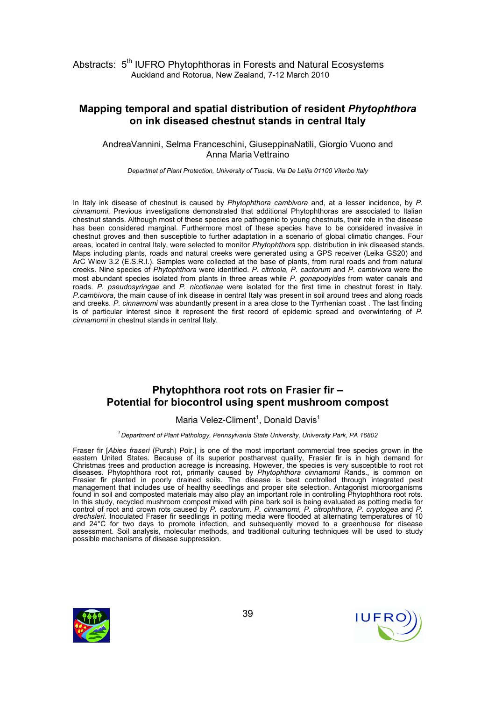## Mapping temporal and spatial distribution of resident Phytophthora on ink diseased chestnut stands in central Italy

AndreaVannini, Selma Franceschini, GiuseppinaNatili, Giorgio Vuono and Anna Maria Vettraino

Departmet of Plant Protection, University of Tuscia, Via De Lellis 01100 Viterbo Italy

In Italy ink disease of chestnut is caused by Phytophthora cambivora and, at a lesser incidence, by P. cinnamomi. Previous investigations demonstrated that additional Phytophthoras are associated to Italian chestnut stands. Although most of these species are pathogenic to young chestnuts, their role in the disease has been considered marginal. Furthermore most of these species have to be considered invasive in chestnut groves and then susceptible to further adaptation in a scenario of global climatic changes. Four areas, located in central Italy, were selected to monitor Phytophthora spp. distribution in ink diseased stands. Maps including plants, roads and natural creeks were generated using a GPS receiver (Leika GS20) and ArC Wiew 3.2 (E.S.R.I.). Samples were collected at the base of plants, from rural roads and from natural creeks. Nine species of Phytophthora were identified. P. citricola, P. cactorum and P. cambivora were the most abundant species isolated from plants in three areas while P. gonapodyides from water canals and roads. P. pseudosyringae and P. nicotianae were isolated for the first time in chestnut forest in Italy. P.cambivora, the main cause of ink disease in central Italy was present in soil around trees and along roads and creeks. P. cinnamomi was abundantly present in a area close to the Tyrrhenian coast. The last finding is of particular interest since it represent the first record of epidemic spread and overwintering of P. cinnamomi in chestnut stands in central Italy.

## Phytophthora root rots on Frasier fir – Potential for biocontrol using spent mushroom compost

#### Maria Velez-Climent<sup>1</sup>, Donald Davis<sup>1</sup>

 $1$  Department of Plant Pathology, Pennsylvania State University, University Park, PA 16802

Fraser fir [Abies fraseri (Pursh) Poir.] is one of the most important commercial tree species grown in the eastern United States. Because of its superior postharvest quality, Frasier fir is in high demand for Christmas trees and production acreage is increasing. However, the species is very susceptible to root rot diseases. Phytophthora root rot, primarily caused by Phytophthora cinnamomi Rands., is common on Frasier fir planted in poorly drained soils. The disease is best controlled through integrated pest management that includes use of healthy seedlings and proper site selection. Antagonist microorganisms found in soil and composted materials may also play an important role in controlling Phytophthora root rots. In this study, recycled mushroom compost mixed with pine bark soil is being evaluated as potting media for control of root and crown rots caused by P. cactorum, P. cinnamomi, P. citrophthora, P. cryptogea and P. drechsleri. Inoculated Fraser fir seedlings in potting media were flooded at alternating temperatures of 10 and 24°C for two days to promote infection, and subsequently moved to a greenhouse for disease assessment. Soil analysis, molecular methods, and traditional culturing techniques will be used to study possible mechanisms of disease suppression.



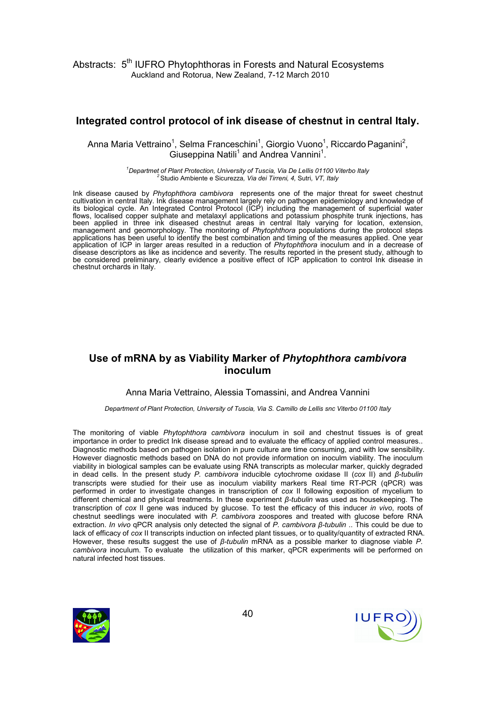# Integrated control protocol of ink disease of chestnut in central Italy.

Anna Maria Vettraino<sup>1</sup>, Selma Franceschini<sup>1</sup>, Giorgio Vuono<sup>1</sup>, Riccardo Paganini<sup>2</sup>, Giuseppina Natili<sup>1</sup> and Andrea Vannini<sup>1</sup>.

> $1$ Departmet of Plant Protection, University of Tuscia, Via De Lellis 01100 Viterbo Italy  $2$ Studio Ambiente e Sicurezza, Via dei Tirreni, 4, Sutri, VT, Italy

Ink disease caused by Phytophthora cambivora represents one of the major threat for sweet chestnut cultivation in central Italy. Ink disease management largely rely on pathogen epidemiology and knowledge of its biological cycle. An Integrated Control Protocol (ICP) including the management of superficial water flows, localised copper sulphate and metalaxyl applications and potassium phosphite trunk injections, has been applied in three ink diseased chestnut areas in central Italy varying for location, extension, management and geomorphology. The monitoring of Phytophthora populations during the protocol steps applications has been useful to identify the best combination and timing of the measures applied. One year application of ICP in larger areas resulted in a reduction of Phytophthora inoculum and in a decrease of disease descriptors as like as incidence and severity. The results reported in the present study, although to be considered preliminary, clearly evidence a positive effect of ICP application to control Ink disease in chestnut orchards in Italy.

# Use of mRNA by as Viability Marker of Phytophthora cambivora inoculum

#### Anna Maria Vettraino, Alessia Tomassini, and Andrea Vannini

#### Department of Plant Protection, University of Tuscia, Via S. Camillo de Lellis snc Viterbo 01100 Italy

The monitoring of viable *Phytophthora cambivora* inoculum in soil and chestnut tissues is of great importance in order to predict Ink disease spread and to evaluate the efficacy of applied control measures.. Diagnostic methods based on pathogen isolation in pure culture are time consuming, and with low sensibility. However diagnostic methods based on DNA do not provide information on inoculm viability. The inoculum viability in biological samples can be evaluate using RNA transcripts as molecular marker, quickly degraded in dead cells. In the present study P. cambivora inducible cytochrome oxidase II (cox II) and β-tubulin transcripts were studied for their use as inoculum viability markers Real time RT-PCR (qPCR) was performed in order to investigate changes in transcription of cox II following exposition of mycelium to different chemical and physical treatments. In these experiment β-tubulin was used as housekeeping. The transcription of cox II gene was induced by glucose. To test the efficacy of this inducer in vivo, roots of chestnut seedlings were inoculated with P. cambivora zoospores and treated with glucose before RNA extraction. In vivo qPCR analysis only detected the signal of P. cambivora β-tubulin .. This could be due to lack of efficacy of cox II transcripts induction on infected plant tissues, or to quality/quantity of extracted RNA. However, these results suggest the use of  $β$ -tubulin mRNA as a possible marker to diagnose viable P. cambivora inoculum. To evaluate the utilization of this marker, qPCR experiments will be performed on natural infected host tissues.



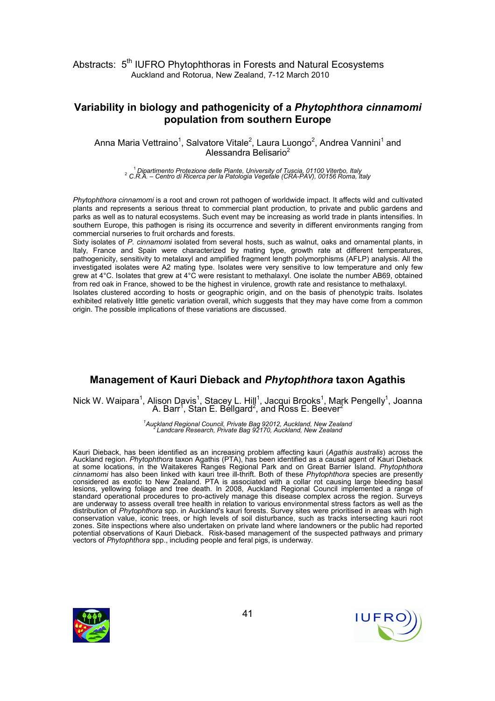# Variability in biology and pathogenicity of a Phytophthora cinnamomi population from southern Europe

Anna Maria Vettraino<sup>1</sup>, Salvatore Vitale<sup>2</sup>, Laura Luongo<sup>2</sup>, Andrea Vannini<sup>1</sup> and Alessandra Belisario<sup>2</sup>

<sup>1</sup> Dipartimento Protezione delle Piante, University of Tuscia, 01100 Viterbo, Italy<br><sup>2</sup> C.R.A. – Centro di Ricerca per la Patologia Vegetale (CRA-PAV), 00156 Roma, Italy

Phytophthora cinnamomi is a root and crown rot pathogen of worldwide impact. It affects wild and cultivated plants and represents a serious threat to commercial plant production, to private and public gardens and parks as well as to natural ecosystems. Such event may be increasing as world trade in plants intensifies. In southern Europe, this pathogen is rising its occurrence and severity in different environments ranging from commercial nurseries to fruit orchards and forests.

Sixty isolates of P. cinnamomi isolated from several hosts, such as walnut, oaks and ornamental plants, in Italy, France and Spain were characterized by mating type, growth rate at different temperatures, pathogenicity, sensitivity to metalaxyl and amplified fragment length polymorphisms (AFLP) analysis. All the investigated isolates were A2 mating type. Isolates were very sensitive to low temperature and only few grew at 4°C. Isolates that grew at 4°C were resistant to methalaxyl. One isolate the number AB69, obtained from red oak in France, showed to be the highest in virulence, growth rate and resistance to methalaxyl.

Isolates clustered according to hosts or geographic origin, and on the basis of phenotypic traits. Isolates exhibited relatively little genetic variation overall, which suggests that they may have come from a common origin. The possible implications of these variations are discussed.

# Management of Kauri Dieback and Phytophthora taxon Agathis

Nick W. Waipara<sup>1</sup>, Alison Davis<sup>1</sup>, Stacey L. Hill<sup>1</sup>, Jacqui Brooks<sup>1</sup>, Mark Pengelly<sup>1</sup>, Joanna A. Barr<sup>1</sup>, Stan E. Bellgard<sup>2</sup>, and Ross E. Beever<sup>2</sup>

<sup>1</sup>Auckland Regional Council, Private Bag 92012, Auckland, New Zealand <sup>2</sup>Landcare Research, Private Bag 92170, Auckland, New Zealand

Kauri Dieback, has been identified as an increasing problem affecting kauri (Agathis australis) across the Auckland region. Phytophthora taxon Agathis (PTA), has been identified as a causal agent of Kauri Dieback at some locations, in the Waitakeres Ranges Regional Park and on Great Barrier Island. Phytophthora cinnamomi has also been linked with kauri tree ill-thrift. Both of these Phytophthora species are presently considered as exotic to New Zealand. PTA is associated with a collar rot causing large bleeding basal lesions, yellowing foliage and tree death. In 2008, Auckland Regional Council implemented a range of standard operational procedures to pro-actively manage this disease complex across the region. Surveys are underway to assess overall tree health in relation to various environmental stress factors as well as the distribution of Phytophthora spp. in Auckland's kauri forests. Survey sites were prioritised in areas with high conservation value, iconic trees, or high levels of soil disturbance, such as tracks intersecting kauri root zones. Site inspections where also undertaken on private land where landowners or the public had reported potential observations of Kauri Dieback. Risk-based management of the suspected pathways and primary vectors of Phytophthora spp., including people and feral pigs, is underway.



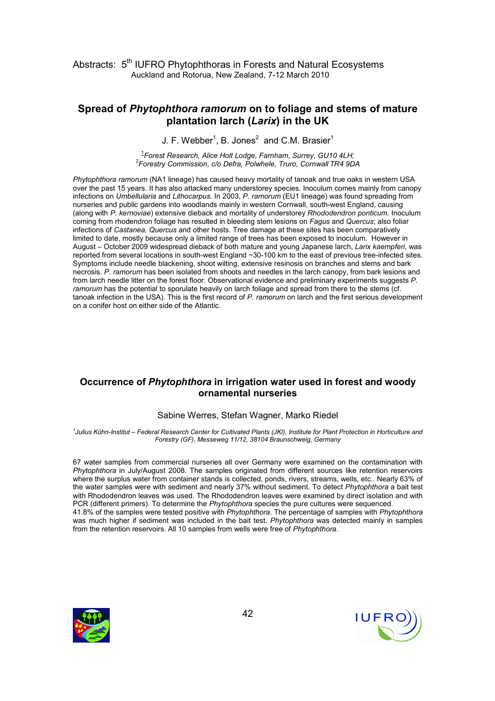## Spread of Phytophthora ramorum on to foliage and stems of mature plantation larch (Larix) in the UK

J. F. Webber<sup>1</sup>, B. Jones<sup>2</sup> and C.M. Brasier<sup>1</sup>

<sup>1</sup>Forest Research, Alice Holt Lodge, Farnham, Surrey, GU10 4LH; 2 Forestry Commission, c/o Defra, Polwhele, Truro, Cornwall TR4 9DA

Phytophthora ramorum (NA1 lineage) has caused heavy mortality of tanoak and true oaks in western USA over the past 15 years. It has also attacked many understorey species. Inoculum comes mainly from canopy infections on Umbellularia and Lithocarpus. In 2003, P. ramorum (EU1 lineage) was found spreading from nurseries and public gardens into woodlands mainly in western Cornwall, south-west England, causing (along with P. kernoviae) extensive dieback and mortality of understorey Rhododendron ponticum. Inoculum coming from rhodendron foliage has resulted in bleeding stem lesions on Fagus and Quercus; also foliar infections of Castanea, Quercus and other hosts. Tree damage at these sites has been comparatively limited to date, mostly because only a limited range of trees has been exposed to inoculum. However in August – October 2009 widespread dieback of both mature and young Japanese larch, Larix kaempferi, was reported from several locations in south-west England ~30-100 km to the east of previous tree-infected sites. Symptoms include needle blackening, shoot wilting, extensive resinosis on branches and stems and bark necrosis. P. ramorum has been isolated from shoots and needles in the larch canopy, from bark lesions and from larch needle litter on the forest floor. Observational evidence and preliminary experiments suggests P. ramorum has the potential to sporulate heavily on larch foliage and spread from there to the stems (cf. tanoak infection in the USA). This is the first record of P. ramorum on larch and the first serious development on a conifer host on either side of the Atlantic.

#### Occurrence of Phytophthora in irrigation water used in forest and woody ornamental nurseries

#### Sabine Werres, Stefan Wagner, Marko Riedel

1 Julius Kühn-Institut – Federal Research Center for Cultivated Plants (JKI), Institute for Plant Protection in Horticulture and Forestry (GF), Messeweg 11/12, 38104 Braunschweig, Germany

67 water samples from commercial nurseries all over Germany were examined on the contamination with Phytophthora in July/August 2008. The samples originated from different sources like retention reservoirs where the surplus water from container stands is collected, ponds, rivers, streams, wells, etc.. Nearly 63% of the water samples were with sediment and nearly 37% without sediment. To detect Phytophthora a bait test with Rhododendron leaves was used. The Rhododendron leaves were examined by direct isolation and with PCR (different primers). To determine the Phytophthora species the pure cultures were sequenced. 41.8% of the samples were tested positive with Phytophthora. The percentage of samples with Phytophthora was much higher if sediment was included in the bait test. Phytophthora was detected mainly in samples from the retention reservoirs. All 10 samples from wells were free of Phytophthora.



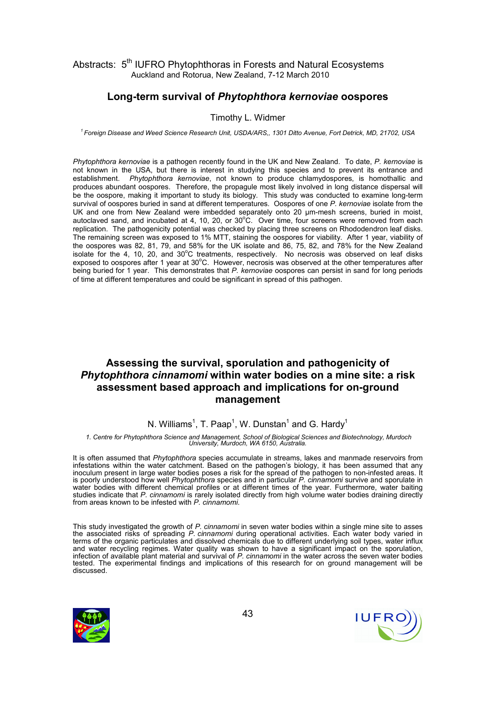## Long-term survival of Phytophthora kernoviae oospores

#### Timothy L. Widmer

<sup>1</sup> Foreign Disease and Weed Science Research Unit, USDA/ARS,, 1301 Ditto Avenue, Fort Detrick, MD, 21702, USA

Phytophthora kernoviae is a pathogen recently found in the UK and New Zealand. To date, P. kernoviae is not known in the USA, but there is interest in studying this species and to prevent its entrance and establishment. Phytophthora kernoviae, not known to produce chlamydospores, is homothallic and produces abundant oospores. Therefore, the propagule most likely involved in long distance dispersal will be the oospore, making it important to study its biology. This study was conducted to examine long-term survival of oospores buried in sand at different temperatures. Oospores of one P. kernoviae isolate from the UK and one from New Zealand were imbedded separately onto 20  $\mu$ m-mesh screens, buried in moist, autoclaved sand, and incubated at 4, 10, 20, or  $30^{\circ}$ C. Over time, four screens were removed from each replication. The pathogenicity potential was checked by placing three screens on Rhododendron leaf disks. The remaining screen was exposed to 1% MTT, staining the oospores for viability. After 1 year, viability of the oospores was 82, 81, 79, and 58% for the UK isolate and 86, 75, 82, and 78% for the New Zealand isolate for the 4, 10, 20, and  $30^{\circ}$ C treatments, respectively. No necrosis was observed on leaf disks exposed to oospores after 1 year at 30°C. However, necrosis was observed at the other temperatures after being buried for 1 year. This demonstrates that P. kernoviae oospores can persist in sand for long periods of time at different temperatures and could be significant in spread of this pathogen.

# Assessing the survival, sporulation and pathogenicity of Phytophthora cinnamomi within water bodies on a mine site: a risk assessment based approach and implications for on-ground management

#### N. Williams<sup>1</sup>, T. Paap<sup>1</sup>, W. Dunstan<sup>1</sup> and G. Hardy<sup>1</sup>

1. Centre for Phytophthora Science and Management, School of Biological Sciences and Biotechnology, Murdoch University, Murdoch, WA 6150, Australia.

It is often assumed that Phytophthora species accumulate in streams, lakes and manmade reservoirs from infestations within the water catchment. Based on the pathogen's biology, it has been assumed that any inoculum present in large water bodies poses a risk for the spread of the pathogen to non-infested areas. It is poorly understood how well Phytophthora species and in particular P. cinnamomi survive and sporulate in water bodies with different chemical profiles or at different times of the year. Furthermore, water baiting studies indicate that P. cinnamomi is rarely isolated directly from high volume water bodies draining directly from areas known to be infested with P. cinnamomi.

This study investigated the growth of P. cinnamomi in seven water bodies within a single mine site to asses the associated risks of spreading P. cinnamomi during operational activities. Each water body varied in terms of the organic particulates and dissolved chemicals due to different underlying soil types, water influx and water recycling regimes. Water quality was shown to have a significant impact on the sporulation, infection of available plant material and survival of P. cinnamomi in the water across the seven water bodies tested. The experimental findings and implications of this research for on ground management will be discussed.